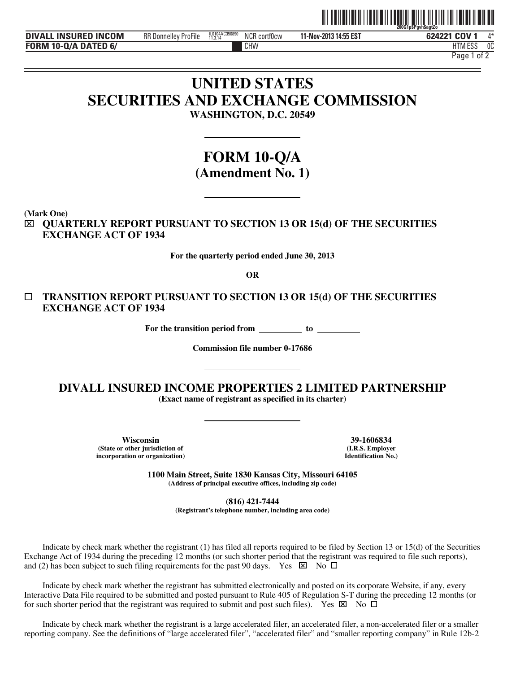

| DIVALL INSURED INCOM | <b>RR Donnelley</b><br>ProFile | IL0104AC350890<br>11.3.14 | NCR cortf0cw | 11-Nov-2013 14:55 EST | 624221 COV 1 |
|----------------------|--------------------------------|---------------------------|--------------|-----------------------|--------------|
| FORM 10-Q/A DATED 6/ |                                |                           | CHW          |                       | HTM ESS      |

HTM ESS 0C

CHW FILM THE CHANNEL CHANNEL CHANNEL CHANNEL CHANNEL CHANNEL CHANNEL CHANNEL CHANNEL CHANNEL CHANNEL CHANNEL CHANNEL CHANNEL CHANNEL CHANNEL CHANNEL CHANNEL CHANNEL CHANNEL CHANNEL CHANNEL CHANNEL CHANNEL CHANNEL CHANNEL C Page 1 of 2

# **UNITED STATES SECURITIES AND EXCHANGE COMMISSION WASHINGTON, D.C. 20549**

# **FORM 10-Q/A (Amendment No. 1)**

**(Mark One)** 

 $\overline{a}$  $\overline{a}$ 

⌧ **QUARTERLY REPORT PURSUANT TO SECTION 13 OR 15(d) OF THE SECURITIES EXCHANGE ACT OF 1934** 

**For the quarterly period ended June 30, 2013** 

**OR** 

# **TRANSITION REPORT PURSUANT TO SECTION 13 OR 15(d) OF THE SECURITIES EXCHANGE ACT OF 1934**

**For the transition period from to** 

**Commission file number 0-17686** 

**DIVALL INSURED INCOME PROPERTIES 2 LIMITED PARTNERSHIP** 

**(Exact name of registrant as specified in its charter)** 

**Wisconsin**<br> **39-1606834**<br> **39-1606834**<br> **1.R.S. Employer (State or other jurisdiction of (I.R.S. Employer incorporation or organization**)

**1100 Main Street, Suite 1830 Kansas City, Missouri 64105 (Address of principal executive offices, including zip code)** 

> **(816) 421-7444 (Registrant's telephone number, including area code)**

Indicate by check mark whether the registrant (1) has filed all reports required to be filed by Section 13 or 15(d) of the Securities Exchange Act of 1934 during the preceding 12 months (or such shorter period that the registrant was required to file such reports), and (2) has been subject to such filing requirements for the past 90 days. Yes  $\boxtimes$  No  $\Box$ 

Indicate by check mark whether the registrant has submitted electronically and posted on its corporate Website, if any, every Interactive Data File required to be submitted and posted pursuant to Rule 405 of Regulation S-T during the preceding 12 months (or for such shorter period that the registrant was required to submit and post such files). Yes  $\boxtimes$  No  $\Box$ 

Indicate by check mark whether the registrant is a large accelerated filer, an accelerated filer, a non-accelerated filer or a smaller reporting company. See the definitions of "large accelerated filer", "accelerated filer" and "smaller reporting company" in Rule 12b-2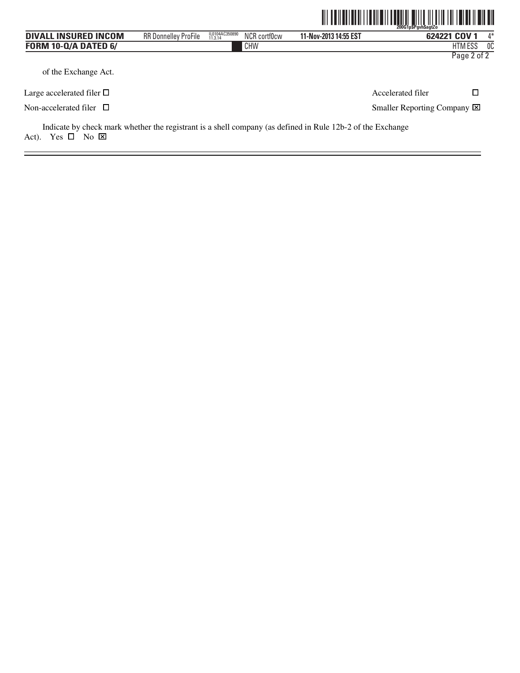|                                                                                                                                                                    |                             |                           |              |                       | 200G1pSPgvhSagtZo                     |             |
|--------------------------------------------------------------------------------------------------------------------------------------------------------------------|-----------------------------|---------------------------|--------------|-----------------------|---------------------------------------|-------------|
| <b>DIVALL INSURED INCOM</b>                                                                                                                                        | <b>RR Donnelley ProFile</b> | IL0104AC350890<br>11.3.14 | NCR cortf0cw | 11-Nov-2013 14:55 EST | 624221 COV 1                          | 4*          |
| <b>FORM 10-Q/A DATED 6/</b>                                                                                                                                        |                             |                           | CHW          |                       | HTM ESS                               | 0C          |
| of the Exchange Act.                                                                                                                                               |                             |                           |              |                       |                                       | Page 2 of 2 |
| Large accelerated filer $\Box$                                                                                                                                     |                             |                           |              |                       | Accelerated filer                     | $\Box$      |
| Non-accelerated filer $\Box$                                                                                                                                       |                             |                           |              |                       | Smaller Reporting Company $\boxtimes$ |             |
| Indicate by check mark whether the registrant is a shell company (as defined in Rule 12b-2 of the Exchange<br>Yes $\Box$<br>$\overline{N}$ $\overline{X}$<br>Act). |                             |                           |              |                       |                                       |             |

 $\overline{a}$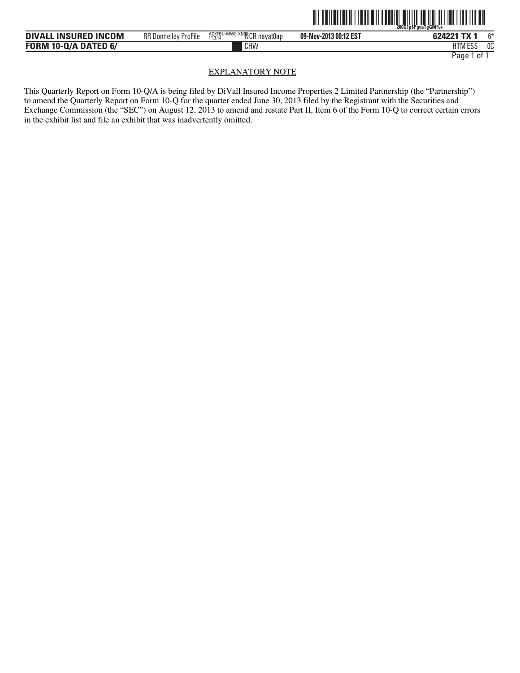

| <b>INCOM</b><br><b>INSURED</b><br><b>DIVALL</b> | RR D<br>. Donnellev :<br><b>ProFile</b> | ACXFBU-MWE-<br>VNIAO.<br><sup>1-MWE-XNQ</sup> NCR nayat0ap<br>11.3.14 | 09-Nov-2013 00:12 EST | $T_{\rm V}$<br>621221 <sup>.</sup> | $\sim$ |
|-------------------------------------------------|-----------------------------------------|-----------------------------------------------------------------------|-----------------------|------------------------------------|--------|
| 10-Q/A DATED 6/<br><b>FORM</b>                  |                                         | CHW                                                                   |                       | roc<br>HIM ESS                     | 0C     |

#### EXPLANATORY NOTE

This Quarterly Report on Form 10-Q/A is being filed by DiVall Insured Income Properties 2 Limited Partnership (the "Partnership") to amend the Quarterly Report on Form 10-Q for the quarter ended June 30, 2013 filed by the Registrant with the Securities and Exchange Commission (the "SEC") on August 12, 2013 to amend and restate Part II, Item 6 of the Form 10-Q to correct certain errors in the exhibit list and file an exhibit that was inadvertently omitted.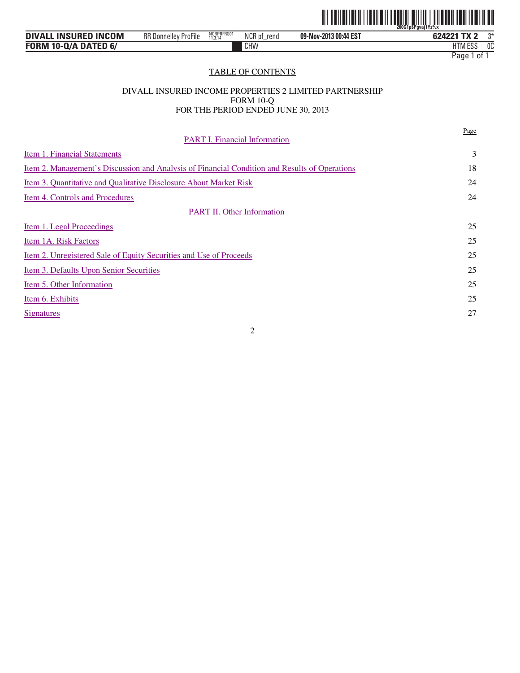

| . INSURED INCOM<br><b>DIVALL</b> | ---<br>RR D<br>, Donnellev<br>ProFile | NCRPRFRS01<br>11.3.14 | NCR pt<br>rend | 09-Nov-2013 00:44 EST | TV 2<br>624221<br>A          | ግ* |
|----------------------------------|---------------------------------------|-----------------------|----------------|-----------------------|------------------------------|----|
| <b>FORM 10-Q/A DATED 6/</b>      |                                       |                       | CHW            |                       | <b>HTM ESS</b><br>$T^{\sim}$ | 0C |

# TABLE OF CONTENTS

#### DIVALL INSURED INCOME PROPERTIES 2 LIMITED PARTNERSHIP FORM 10-Q FOR THE PERIOD ENDED JUNE 30, 2013

| <b>PART I. Financial Information</b>                                                          | Page |
|-----------------------------------------------------------------------------------------------|------|
| Item 1. Financial Statements                                                                  | 3    |
| Item 2. Management's Discussion and Analysis of Financial Condition and Results of Operations | 18   |
| Item 3. Quantitative and Qualitative Disclosure About Market Risk                             | 24   |
| <u>Item 4. Controls and Procedures</u>                                                        | 24   |
| <b>PART II. Other Information</b>                                                             |      |
| <u>Item 1. Legal Proceedings</u>                                                              | 25   |
| Item 1A. Risk Factors                                                                         | 25   |
| <u>Item 2. Unregistered Sale of Equity Securities and Use of Proceeds</u>                     | 25   |
| Item 3. Defaults Upon Senior Securities                                                       | 25   |
| Item 5. Other Information                                                                     | 25   |
| Item 6. Exhibits                                                                              | 25   |
| Signatures                                                                                    | 27   |
|                                                                                               |      |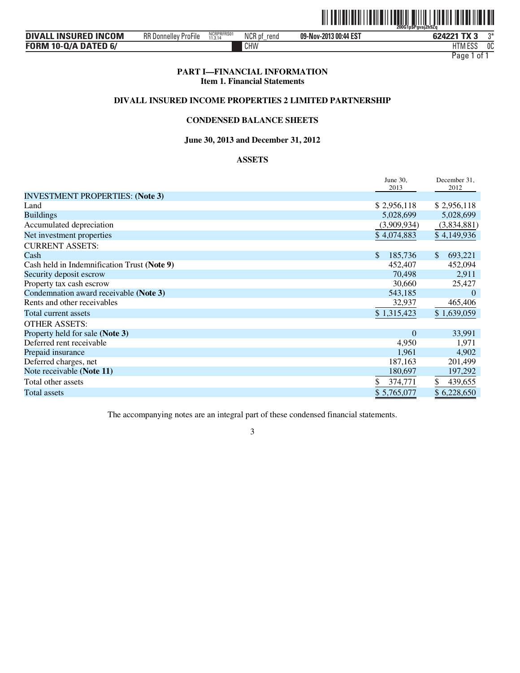

| <b>. INSURED INCOM</b><br><b>DIVALL</b> | ---<br>RR D<br>، Donnellev<br>ProFile | NCRPRFRS01<br>11.3.14 | NCR pt<br>rend | 09-Nov-2013 00:44 EST | 624221<br>TV 1<br>n          | ∩* |
|-----------------------------------------|---------------------------------------|-----------------------|----------------|-----------------------|------------------------------|----|
| <b>FORM 10-Q/A DATED 6/</b>             |                                       |                       | CHW            |                       | <b>HTM ESS</b><br><b>FOO</b> | 0C |

#### **PART I—FINANCIAL INFORMATION Item 1. Financial Statements**

# **DIVALL INSURED INCOME PROPERTIES 2 LIMITED PARTNERSHIP**

# **CONDENSED BALANCE SHEETS**

**June 30, 2013 and December 31, 2012** 

# **ASSETS**

|                                             | June 30,      | December 31,            |
|---------------------------------------------|---------------|-------------------------|
|                                             | 2013          | 2012                    |
| <b>INVESTMENT PROPERTIES: (Note 3)</b>      |               |                         |
| Land                                        | \$2,956,118   | \$2,956,118             |
| <b>Buildings</b>                            | 5,028,699     | 5,028,699               |
| Accumulated depreciation                    | (3,909,934)   | (3,834,881)             |
| Net investment properties                   | \$4,074,883   | \$4,149,936             |
| <b>CURRENT ASSETS:</b>                      |               |                         |
| Cash                                        | \$<br>185,736 | $\mathbb{S}$<br>693,221 |
| Cash held in Indemnification Trust (Note 9) | 452,407       | 452,094                 |
| Security deposit escrow                     | 70,498        | 2,911                   |
| Property tax cash escrow                    | 30,660        | 25,427                  |
| Condemnation award receivable (Note 3)      | 543,185       | $\Omega$                |
| Rents and other receivables                 | 32,937        | 465,406                 |
| Total current assets                        | \$1,315,423   | \$1,639,059             |
| <b>OTHER ASSETS:</b>                        |               |                         |
| Property held for sale (Note 3)             | $\theta$      | 33,991                  |
| Deferred rent receivable                    | 4,950         | 1,971                   |
| Prepaid insurance                           | 1,961         | 4,902                   |
| Deferred charges, net                       | 187,163       | 201,499                 |
| Note receivable (Note 11)                   | 180,697       | 197,292                 |
| Total other assets                          | 374,771       | \$<br>439,655           |
| <b>Total assets</b>                         | \$5,765,077   | \$6,228,650             |
|                                             |               |                         |

The accompanying notes are an integral part of these condensed financial statements.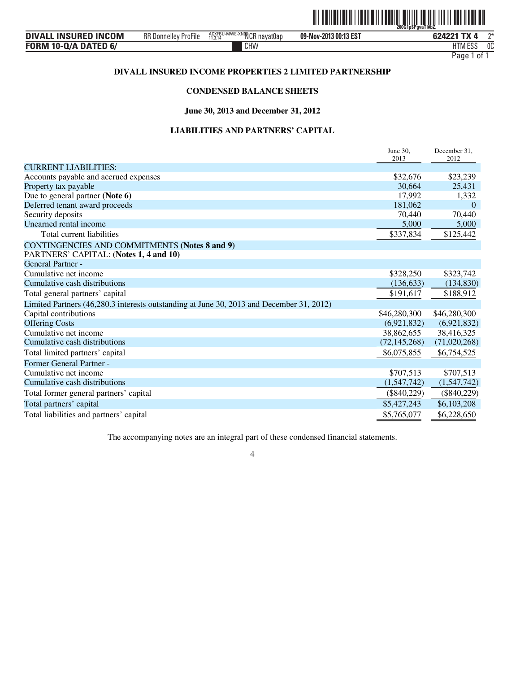

| <b>DIVALL INSURED INCOM</b> | <b>RR</b> Donnelley<br>$-\cdot$ .<br><sup>o</sup> roFile | ACXFBU-MWE-<br>E-XNOOCR<br>∶R navat0ar<br>11.3.14 | 09-Nov-2013 00:13 EST | 624221<br>TV.         | $^{\text{A}}$ |
|-----------------------------|----------------------------------------------------------|---------------------------------------------------|-----------------------|-----------------------|---------------|
| <b>FORM 10-Q/A DATED 6/</b> |                                                          | CHW                                               |                       | <b>FOO</b><br>HIM ESS | 0C            |

# **DIVALL INSURED INCOME PROPERTIES 2 LIMITED PARTNERSHIP**

# **CONDENSED BALANCE SHEETS**

**June 30, 2013 and December 31, 2012** 

#### **LIABILITIES AND PARTNERS' CAPITAL**

|                                                                                          | June 30.<br>2013 | December 31.<br>2012 |
|------------------------------------------------------------------------------------------|------------------|----------------------|
| <b>CURRENT LIABILITIES:</b>                                                              |                  |                      |
| Accounts payable and accrued expenses                                                    | \$32,676         | \$23,239             |
| Property tax payable                                                                     | 30.664           | 25,431               |
| Due to general partner (Note 6)                                                          | 17,992           | 1,332                |
| Deferred tenant award proceeds                                                           | 181,062          | $\theta$             |
| Security deposits                                                                        | 70,440           | 70,440               |
| Unearned rental income                                                                   | 5,000            | 5,000                |
| Total current liabilities                                                                | \$337,834        | \$125,442            |
| <b>CONTINGENCIES AND COMMITMENTS (Notes 8 and 9)</b>                                     |                  |                      |
| PARTNERS' CAPITAL: (Notes 1, 4 and 10)                                                   |                  |                      |
| <b>General Partner -</b>                                                                 |                  |                      |
| Cumulative net income                                                                    | \$328,250        | \$323,742            |
| Cumulative cash distributions                                                            | (136, 633)       | (134, 830)           |
| Total general partners' capital                                                          | \$191,617        | \$188,912            |
| Limited Partners (46,280.3 interests outstanding at June 30, 2013 and December 31, 2012) |                  |                      |
| Capital contributions                                                                    | \$46,280,300     | \$46,280,300         |
| <b>Offering Costs</b>                                                                    | (6,921,832)      | (6,921,832)          |
| Cumulative net income                                                                    | 38,862,655       | 38,416,325           |
| Cumulative cash distributions                                                            | (72, 145, 268)   | (71,020,268)         |
| Total limited partners' capital                                                          | \$6,075,855      | \$6,754,525          |
| <b>Former General Partner -</b>                                                          |                  |                      |
| Cumulative net income                                                                    | \$707,513        | \$707,513            |
| Cumulative cash distributions                                                            | (1,547,742)      | (1,547,742)          |
| Total former general partners' capital                                                   | $(\$840,229)$    | $(\$840,229)$        |
| Total partners' capital                                                                  | \$5,427,243      | \$6,103,208          |
| Total liabilities and partners' capital                                                  | \$5,765,077      | \$6,228,650          |

The accompanying notes are an integral part of these condensed financial statements.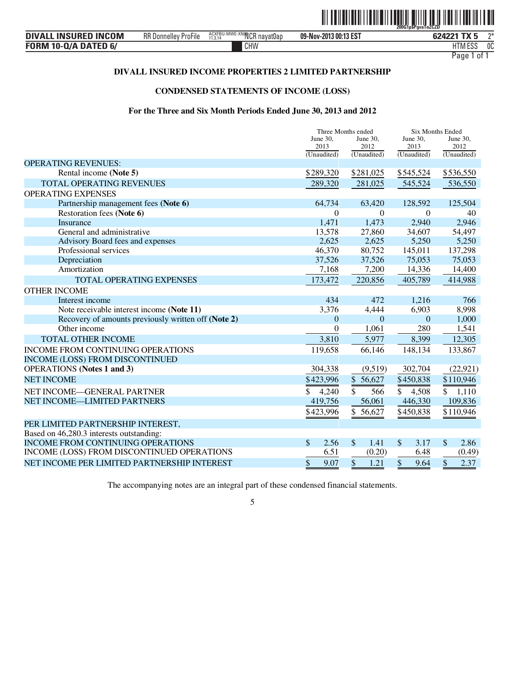

| . INSURED INCOM<br><b>DIVALL</b> | RR D<br>ł Donnellev ProFile | ACXFBU<br><b>MANUE-XNOWCR navalle</b><br>`navat0ap<br>11.3.14 | 09-Nov-2013 00:13 EST | 624221<br>. TV        | $n*$ |
|----------------------------------|-----------------------------|---------------------------------------------------------------|-----------------------|-----------------------|------|
| <b>FORM 10-Q/A DATED 6/</b>      |                             | CHW                                                           |                       | <b>FOO</b><br>HIM ESS | 0C   |
|                                  |                             |                                                               |                       |                       |      |

# **DIVALL INSURED INCOME PROPERTIES 2 LIMITED PARTNERSHIP**

# **CONDENSED STATEMENTS OF INCOME (LOSS)**

#### **For the Three and Six Month Periods Ended June 30, 2013 and 2012**

|                                                     |                       | Three Months ended    | <b>Six Months Ended</b> |                     |  |
|-----------------------------------------------------|-----------------------|-----------------------|-------------------------|---------------------|--|
|                                                     | June 30.              | June 30.              | June 30,                | June 30.            |  |
|                                                     | 2013<br>(Unaudited)   | 2012<br>(Unaudited)   | 2013<br>(Unaudited)     | 2012<br>(Unaudited) |  |
| <b>OPERATING REVENUES:</b>                          |                       |                       |                         |                     |  |
| Rental income (Note 5)                              | \$289,320             | \$281,025             | \$545,524               | \$536,550           |  |
| <b>TOTAL OPERATING REVENUES</b>                     | 289,320               | 281,025               | 545,524                 | 536,550             |  |
| <b>OPERATING EXPENSES</b>                           |                       |                       |                         |                     |  |
| Partnership management fees (Note 6)                | 64,734                | 63,420                | 128,592                 | 125,504             |  |
| Restoration fees (Note 6)                           | $\overline{0}$        | $\theta$              | $\mathbf{0}$            | 40                  |  |
| <b>Insurance</b>                                    | 1,471                 | 1,473                 | 2,940                   | 2,946               |  |
| General and administrative                          | 13,578                | 27,860                | 34,607                  | 54,497              |  |
| Advisory Board fees and expenses                    | 2,625                 | 2,625                 | 5,250                   | 5,250               |  |
| Professional services                               | 46,370                | 80,752                | 145,011                 | 137,298             |  |
| Depreciation                                        | 37,526                | 37,526                | 75,053                  | 75,053              |  |
| Amortization                                        | 7,168                 | 7,200                 | 14,336                  | 14,400              |  |
| TOTAL OPERATING EXPENSES                            | 173,472               | 220,856               | 405,789                 | 414,988             |  |
| <b>OTHER INCOME</b>                                 |                       |                       |                         |                     |  |
| Interest income                                     | 434                   | 472                   | 1,216                   | 766                 |  |
| Note receivable interest income (Note 11)           | 3,376                 | 4,444                 | 6,903                   | 8,998               |  |
| Recovery of amounts previously written off (Note 2) | $\boldsymbol{0}$      | $\overline{0}$        | $\mathbf{0}$            | 1,000               |  |
| Other income                                        | $\boldsymbol{0}$      | 1,061                 | 280                     | 1,541               |  |
| <b>TOTAL OTHER INCOME</b>                           | 3,810                 | 5,977                 | 8,399                   | 12,305              |  |
| <b>INCOME FROM CONTINUING OPERATIONS</b>            | 119,658               | 66,146                | 148,134                 | 133,867             |  |
| INCOME (LOSS) FROM DISCONTINUED                     |                       |                       |                         |                     |  |
| <b>OPERATIONS</b> (Notes 1 and 3)                   | 304,338               | (9,519)               | 302,704                 | (22, 921)           |  |
| <b>NET INCOME</b>                                   | \$423,996             | \$56,627              | \$450,838               | \$110,946           |  |
| NET INCOME-GENERAL PARTNER                          | 4,240<br>\$.          | \$<br>566             | $\mathbb{S}$<br>4,508   | \$<br>1,110         |  |
| NET INCOME-LIMITED PARTNERS                         | 419,756               | 56,061                | 446,330                 | 109,836             |  |
|                                                     | \$423,996             | \$56,627              | \$450,838               | \$110,946           |  |
| PER LIMITED PARTNERSHIP INTEREST,                   |                       |                       |                         |                     |  |
| Based on 46,280.3 interests outstanding:            |                       |                       |                         |                     |  |
| <b>INCOME FROM CONTINUING OPERATIONS</b>            | $\mathcal{S}$<br>2.56 | $\mathcal{S}$<br>1.41 | $\mathcal{S}$<br>3.17   | \$<br>2.86          |  |
| INCOME (LOSS) FROM DISCONTINUED OPERATIONS          | 6.51                  | (0.20)                | 6.48                    | (0.49)              |  |
| NET INCOME PER LIMITED PARTNERSHIP INTEREST         | \$<br>9.07            | \$<br>1.21            | 9.64<br>\$              | \$<br>2.37          |  |
|                                                     |                       |                       |                         |                     |  |

The accompanying notes are an integral part of these condensed financial statements.

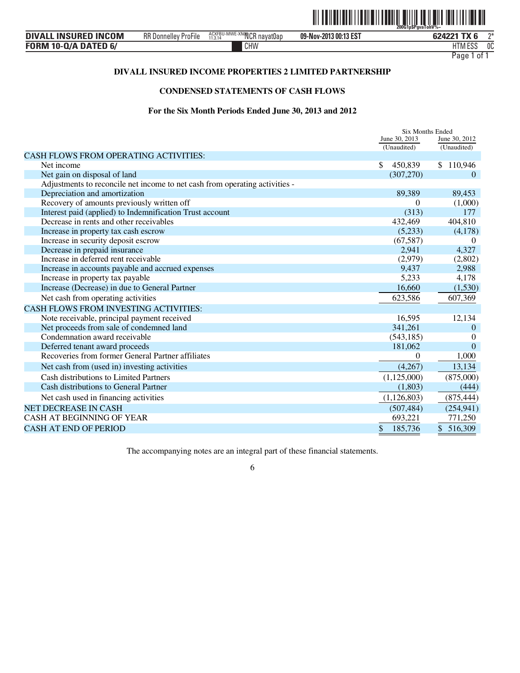

| <b>DIVALL INSURED INCOM</b> | $-\cdot$ .<br>RR D<br>ProFile<br>. Donnellev | ACXFBU-MWE-XNOOLP<br>.R navat0ar<br>11.3.14 | 09-Nov-2013 00:13 EST | 621221 <sup>.</sup><br>rv. | $n*$ |
|-----------------------------|----------------------------------------------|---------------------------------------------|-----------------------|----------------------------|------|
| <b>FORM 10-Q/A DATED 6/</b> |                                              | CHW                                         |                       | roc<br>HIM ESS             | 0C   |

# **DIVALL INSURED INCOME PROPERTIES 2 LIMITED PARTNERSHIP**

# **CONDENSED STATEMENTS OF CASH FLOWS**

#### **For the Six Month Periods Ended June 30, 2013 and 2012**

|                                                                             | <b>Six Months Ended</b> |                       |
|-----------------------------------------------------------------------------|-------------------------|-----------------------|
|                                                                             | June 30, 2013           | June 30, 2012         |
|                                                                             | (Unaudited)             | (Unaudited)           |
| <b>CASH FLOWS FROM OPERATING ACTIVITIES:</b><br>Net income                  | \$                      |                       |
| Net gain on disposal of land                                                | 450,839<br>(307,270)    | \$110,946<br>$\Omega$ |
| Adjustments to reconcile net income to net cash from operating activities - |                         |                       |
| Depreciation and amortization                                               | 89,389                  | 89,453                |
| Recovery of amounts previously written off                                  | 0                       | (1,000)               |
| Interest paid (applied) to Indemnification Trust account                    | (313)                   | 177                   |
| Decrease in rents and other receivables                                     | 432,469                 | 404,810               |
| Increase in property tax cash escrow                                        | (5,233)                 | (4,178)               |
| Increase in security deposit escrow                                         | (67, 587)               | $\theta$              |
| Decrease in prepaid insurance                                               | 2,941                   | 4,327                 |
| Increase in deferred rent receivable                                        | (2,979)                 | (2,802)               |
| Increase in accounts payable and accrued expenses                           | 9,437                   | 2,988                 |
| Increase in property tax payable                                            | 5,233                   | 4,178                 |
| Increase (Decrease) in due to General Partner                               | 16,660                  | (1,530)               |
| Net cash from operating activities                                          | 623,586                 | 607,369               |
| <b>CASH FLOWS FROM INVESTING ACTIVITIES:</b>                                |                         |                       |
| Note receivable, principal payment received                                 | 16,595                  | 12,134                |
| Net proceeds from sale of condemned land                                    | 341,261                 | $\Omega$              |
| Condemnation award receivable                                               | (543, 185)              | $\Omega$              |
| Deferred tenant award proceeds                                              | 181,062                 | $\theta$              |
| Recoveries from former General Partner affiliates                           | $\boldsymbol{0}$        | 1,000                 |
| Net cash from (used in) investing activities                                | (4,267)                 | 13,134                |
| Cash distributions to Limited Partners                                      | (1,125,000)             | (875,000)             |
| Cash distributions to General Partner                                       | (1,803)                 | (444)                 |
| Net cash used in financing activities                                       | (1,126,803)             | (875, 444)            |
| <b>NET DECREASE IN CASH</b>                                                 | (507, 484)              | (254, 941)            |
| CASH AT BEGINNING OF YEAR                                                   | 693,221                 | 771,250               |
| <b>CASH AT END OF PERIOD</b>                                                | \$<br>185,736           | \$<br>516,309         |
|                                                                             |                         |                       |

The accompanying notes are an integral part of these financial statements.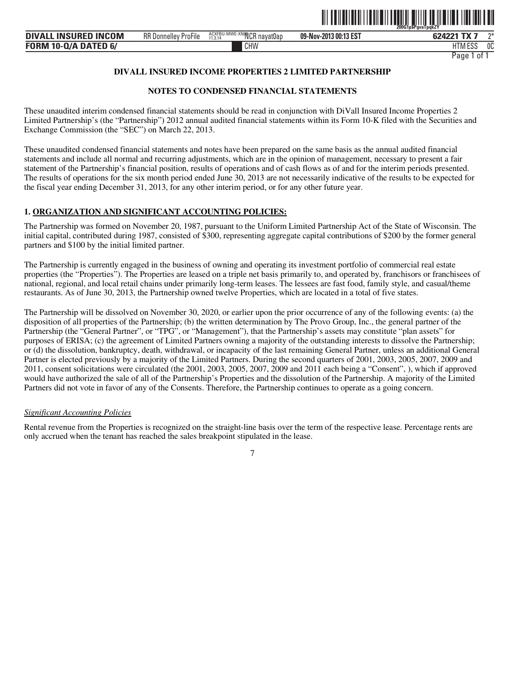

CHW FILM THE CHANNEL CHANNEL CHANNEL CHANNEL CHANNEL CHANNEL CHANNEL CHANNEL CHANNEL CHANNEL CHANNEL CHANNEL CHANNEL CHANNEL CHANNEL CHANNEL CHANNEL CHANNEL CHANNEL CHANNEL CHANNEL CHANNEL CHANNEL CHANNEL CHANNEL CHANNEL C Page 1 of 1

# **DIVALL INSURED INCOME PROPERTIES 2 LIMITED PARTNERSHIP**

# **NOTES TO CONDENSED FINANCIAL STATEMENTS**

These unaudited interim condensed financial statements should be read in conjunction with DiVall Insured Income Properties 2 Limited Partnership's (the "Partnership") 2012 annual audited financial statements within its Form 10-K filed with the Securities and Exchange Commission (the "SEC") on March 22, 2013.

These unaudited condensed financial statements and notes have been prepared on the same basis as the annual audited financial statements and include all normal and recurring adjustments, which are in the opinion of management, necessary to present a fair statement of the Partnership's financial position, results of operations and of cash flows as of and for the interim periods presented. The results of operations for the six month period ended June 30, 2013 are not necessarily indicative of the results to be expected for the fiscal year ending December 31, 2013, for any other interim period, or for any other future year.

# **1. ORGANIZATION AND SIGNIFICANT ACCOUNTING POLICIES:**

The Partnership was formed on November 20, 1987, pursuant to the Uniform Limited Partnership Act of the State of Wisconsin. The initial capital, contributed during 1987, consisted of \$300, representing aggregate capital contributions of \$200 by the former general partners and \$100 by the initial limited partner.

The Partnership is currently engaged in the business of owning and operating its investment portfolio of commercial real estate properties (the "Properties"). The Properties are leased on a triple net basis primarily to, and operated by, franchisors or franchisees of national, regional, and local retail chains under primarily long-term leases. The lessees are fast food, family style, and casual/theme restaurants. As of June 30, 2013, the Partnership owned twelve Properties, which are located in a total of five states.

The Partnership will be dissolved on November 30, 2020, or earlier upon the prior occurrence of any of the following events: (a) the disposition of all properties of the Partnership; (b) the written determination by The Provo Group, Inc., the general partner of the Partnership (the "General Partner", or "TPG", or "Management"), that the Partnership's assets may constitute "plan assets" for purposes of ERISA; (c) the agreement of Limited Partners owning a majority of the outstanding interests to dissolve the Partnership; or (d) the dissolution, bankruptcy, death, withdrawal, or incapacity of the last remaining General Partner, unless an additional General Partner is elected previously by a majority of the Limited Partners. During the second quarters of 2001, 2003, 2005, 2007, 2009 and 2011, consent solicitations were circulated (the 2001, 2003, 2005, 2007, 2009 and 2011 each being a "Consent", ), which if approved would have authorized the sale of all of the Partnership's Properties and the dissolution of the Partnership. A majority of the Limited Partners did not vote in favor of any of the Consents. Therefore, the Partnership continues to operate as a going concern.

#### *Significant Accounting Policies*

Rental revenue from the Properties is recognized on the straight-line basis over the term of the respective lease. Percentage rents are only accrued when the tenant has reached the sales breakpoint stipulated in the lease.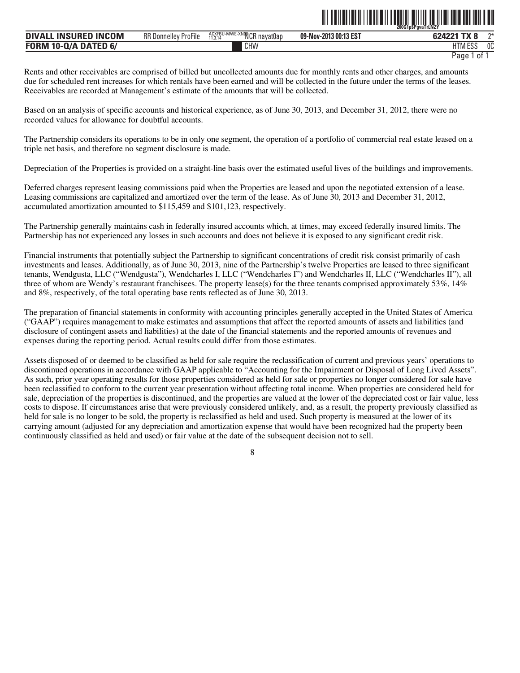| DIVAL<br><b>INCOM</b><br><b>INSURED</b> | $- \cdot \cdot$<br><b>RR</b> Donnelley<br>ProFile | ACXFBU-MWE-XN061 OD<br>'NCR navat0ap<br>11.3.14 | 09-Nov-2013 00:13 EST | <b>S24221 TY 8</b>        | ባች |
|-----------------------------------------|---------------------------------------------------|-------------------------------------------------|-----------------------|---------------------------|----|
| FORM<br>$10-Q/A$<br>DATED 6/            |                                                   | CHW                                             |                       | <b>ITM FOO</b><br>HTM F22 | 0C |

ˆ200G1p\$PgvaTrLNZYŠ **200G1p\$PgvaTrLNZY**

Rents and other receivables are comprised of billed but uncollected amounts due for monthly rents and other charges, and amounts due for scheduled rent increases for which rentals have been earned and will be collected in the future under the terms of the leases. Receivables are recorded at Management's estimate of the amounts that will be collected.

Based on an analysis of specific accounts and historical experience, as of June 30, 2013, and December 31, 2012, there were no recorded values for allowance for doubtful accounts.

The Partnership considers its operations to be in only one segment, the operation of a portfolio of commercial real estate leased on a triple net basis, and therefore no segment disclosure is made.

Depreciation of the Properties is provided on a straight-line basis over the estimated useful lives of the buildings and improvements.

Deferred charges represent leasing commissions paid when the Properties are leased and upon the negotiated extension of a lease. Leasing commissions are capitalized and amortized over the term of the lease. As of June 30, 2013 and December 31, 2012, accumulated amortization amounted to \$115,459 and \$101,123, respectively.

The Partnership generally maintains cash in federally insured accounts which, at times, may exceed federally insured limits. The Partnership has not experienced any losses in such accounts and does not believe it is exposed to any significant credit risk.

Financial instruments that potentially subject the Partnership to significant concentrations of credit risk consist primarily of cash investments and leases. Additionally, as of June 30, 2013, nine of the Partnership's twelve Properties are leased to three significant tenants, Wendgusta, LLC ("Wendgusta"), Wendcharles I, LLC ("Wendcharles I") and Wendcharles II, LLC ("Wendcharles II"), all three of whom are Wendy's restaurant franchisees. The property lease(s) for the three tenants comprised approximately 53%, 14% and 8%, respectively, of the total operating base rents reflected as of June 30, 2013.

The preparation of financial statements in conformity with accounting principles generally accepted in the United States of America ("GAAP") requires management to make estimates and assumptions that affect the reported amounts of assets and liabilities (and disclosure of contingent assets and liabilities) at the date of the financial statements and the reported amounts of revenues and expenses during the reporting period. Actual results could differ from those estimates.

Assets disposed of or deemed to be classified as held for sale require the reclassification of current and previous years' operations to discontinued operations in accordance with GAAP applicable to "Accounting for the Impairment or Disposal of Long Lived Assets". As such, prior year operating results for those properties considered as held for sale or properties no longer considered for sale have been reclassified to conform to the current year presentation without affecting total income. When properties are considered held for sale, depreciation of the properties is discontinued, and the properties are valued at the lower of the depreciated cost or fair value, less costs to dispose. If circumstances arise that were previously considered unlikely, and, as a result, the property previously classified as held for sale is no longer to be sold, the property is reclassified as held and used. Such property is measured at the lower of its carrying amount (adjusted for any depreciation and amortization expense that would have been recognized had the property been continuously classified as held and used) or fair value at the date of the subsequent decision not to sell.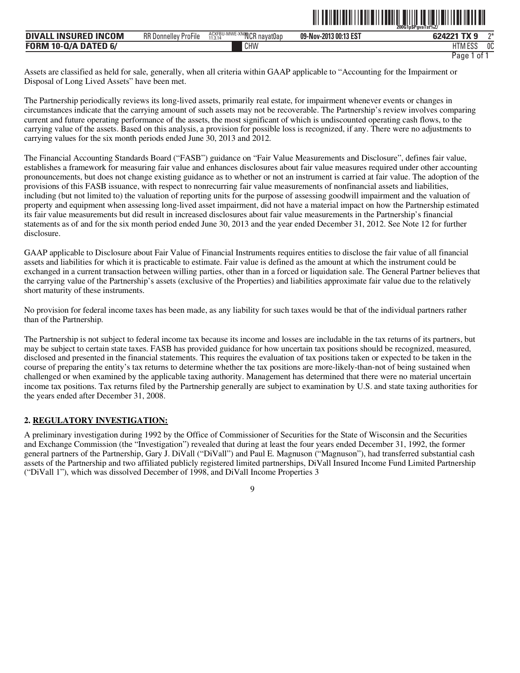|                                         |                                                   |                                      | --------------------- | $200G1pSPqvaTst\%Z/$      |          |
|-----------------------------------------|---------------------------------------------------|--------------------------------------|-----------------------|---------------------------|----------|
| <b>INCOM</b><br>DIVAI<br><b>INSURED</b> | $- \cdot \cdot$<br><b>RR</b> Donnelley<br>ProFile | ACXFBU-MWE-XNOCR nayat0ap<br>11.3.14 | 09-Nov-2013 00:13 EST | $-11$<br>G71771           | $\gamma$ |
| FORM<br>$10-Q/A$<br><b>TED 6/</b>       |                                                   | CHW                                  |                       | 1.500<br><b>ITN</b><br>ᆫᅛ | 0C       |

ˆ200G1p\$PgvaTst%Z/Š **200G1p\$PgvaTst%Z/** 

Assets are classified as held for sale, generally, when all criteria within GAAP applicable to "Accounting for the Impairment or Disposal of Long Lived Assets" have been met.

The Partnership periodically reviews its long-lived assets, primarily real estate, for impairment whenever events or changes in circumstances indicate that the carrying amount of such assets may not be recoverable. The Partnership's review involves comparing current and future operating performance of the assets, the most significant of which is undiscounted operating cash flows, to the carrying value of the assets. Based on this analysis, a provision for possible loss is recognized, if any. There were no adjustments to carrying values for the six month periods ended June 30, 2013 and 2012.

The Financial Accounting Standards Board ("FASB") guidance on "Fair Value Measurements and Disclosure", defines fair value, establishes a framework for measuring fair value and enhances disclosures about fair value measures required under other accounting pronouncements, but does not change existing guidance as to whether or not an instrument is carried at fair value. The adoption of the provisions of this FASB issuance, with respect to nonrecurring fair value measurements of nonfinancial assets and liabilities, including (but not limited to) the valuation of reporting units for the purpose of assessing goodwill impairment and the valuation of property and equipment when assessing long-lived asset impairment, did not have a material impact on how the Partnership estimated its fair value measurements but did result in increased disclosures about fair value measurements in the Partnership's financial statements as of and for the six month period ended June 30, 2013 and the year ended December 31, 2012. See Note 12 for further disclosure.

GAAP applicable to Disclosure about Fair Value of Financial Instruments requires entities to disclose the fair value of all financial assets and liabilities for which it is practicable to estimate. Fair value is defined as the amount at which the instrument could be exchanged in a current transaction between willing parties, other than in a forced or liquidation sale. The General Partner believes that the carrying value of the Partnership's assets (exclusive of the Properties) and liabilities approximate fair value due to the relatively short maturity of these instruments.

No provision for federal income taxes has been made, as any liability for such taxes would be that of the individual partners rather than of the Partnership.

The Partnership is not subject to federal income tax because its income and losses are includable in the tax returns of its partners, but may be subject to certain state taxes. FASB has provided guidance for how uncertain tax positions should be recognized, measured, disclosed and presented in the financial statements. This requires the evaluation of tax positions taken or expected to be taken in the course of preparing the entity's tax returns to determine whether the tax positions are more-likely-than-not of being sustained when challenged or when examined by the applicable taxing authority. Management has determined that there were no material uncertain income tax positions. Tax returns filed by the Partnership generally are subject to examination by U.S. and state taxing authorities for the years ended after December 31, 2008.

# **2. REGULATORY INVESTIGATION:**

A preliminary investigation during 1992 by the Office of Commissioner of Securities for the State of Wisconsin and the Securities and Exchange Commission (the "Investigation") revealed that during at least the four years ended December 31, 1992, the former general partners of the Partnership, Gary J. DiVall ("DiVall") and Paul E. Magnuson ("Magnuson"), had transferred substantial cash assets of the Partnership and two affiliated publicly registered limited partnerships, DiVall Insured Income Fund Limited Partnership ("DiVall 1"), which was dissolved December of 1998, and DiVall Income Properties 3

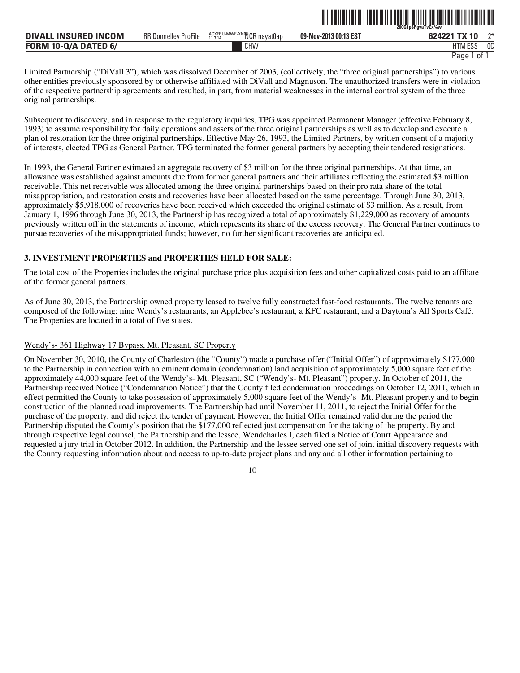| <b>DIVALL INSURED INCOM</b> | <b>RR Donnelley ProFile</b> | ACXFBU-MWE-XN0810D<br>NCR navat0ap<br>11.3.14 | 09-Nov-2013 00:13 EST | 624221 TX 10            | ግ* |
|-----------------------------|-----------------------------|-----------------------------------------------|-----------------------|-------------------------|----|
| <b>FORM 10-Q/A DATED 6/</b> |                             | CHW                                           |                       | 5.500<br><b>HTM ESJ</b> | บบ |

ˆ200G1p\$PgvaTvZx%wŠ **200G1p\$PgvaTvZx%w**

Limited Partnership ("DiVall 3"), which was dissolved December of 2003, (collectively, the "three original partnerships") to various other entities previously sponsored by or otherwise affiliated with DiVall and Magnuson. The unauthorized transfers were in violation of the respective partnership agreements and resulted, in part, from material weaknesses in the internal control system of the three original partnerships.

Subsequent to discovery, and in response to the regulatory inquiries, TPG was appointed Permanent Manager (effective February 8, 1993) to assume responsibility for daily operations and assets of the three original partnerships as well as to develop and execute a plan of restoration for the three original partnerships. Effective May 26, 1993, the Limited Partners, by written consent of a majority of interests, elected TPG as General Partner. TPG terminated the former general partners by accepting their tendered resignations.

In 1993, the General Partner estimated an aggregate recovery of \$3 million for the three original partnerships. At that time, an allowance was established against amounts due from former general partners and their affiliates reflecting the estimated \$3 million receivable. This net receivable was allocated among the three original partnerships based on their pro rata share of the total misappropriation, and restoration costs and recoveries have been allocated based on the same percentage. Through June 30, 2013, approximately \$5,918,000 of recoveries have been received which exceeded the original estimate of \$3 million. As a result, from January 1, 1996 through June 30, 2013, the Partnership has recognized a total of approximately \$1,229,000 as recovery of amounts previously written off in the statements of income, which represents its share of the excess recovery. The General Partner continues to pursue recoveries of the misappropriated funds; however, no further significant recoveries are anticipated.

# **3. INVESTMENT PROPERTIES and PROPERTIES HELD FOR SALE:**

The total cost of the Properties includes the original purchase price plus acquisition fees and other capitalized costs paid to an affiliate of the former general partners.

As of June 30, 2013, the Partnership owned property leased to twelve fully constructed fast-food restaurants. The twelve tenants are composed of the following: nine Wendy's restaurants, an Applebee's restaurant, a KFC restaurant, and a Daytona's All Sports Café. The Properties are located in a total of five states.

# Wendy's- 361 Highway 17 Bypass, Mt. Pleasant, SC Property

On November 30, 2010, the County of Charleston (the "County") made a purchase offer ("Initial Offer") of approximately \$177,000 to the Partnership in connection with an eminent domain (condemnation) land acquisition of approximately 5,000 square feet of the approximately 44,000 square feet of the Wendy's- Mt. Pleasant, SC ("Wendy's- Mt. Pleasant") property. In October of 2011, the Partnership received Notice ("Condemnation Notice") that the County filed condemnation proceedings on October 12, 2011, which in effect permitted the County to take possession of approximately 5,000 square feet of the Wendy's- Mt. Pleasant property and to begin construction of the planned road improvements. The Partnership had until November 11, 2011, to reject the Initial Offer for the purchase of the property, and did reject the tender of payment. However, the Initial Offer remained valid during the period the Partnership disputed the County's position that the \$177,000 reflected just compensation for the taking of the property. By and through respective legal counsel, the Partnership and the lessee, Wendcharles I, each filed a Notice of Court Appearance and requested a jury trial in October 2012. In addition, the Partnership and the lessee served one set of joint initial discovery requests with the County requesting information about and access to up-to-date project plans and any and all other information pertaining to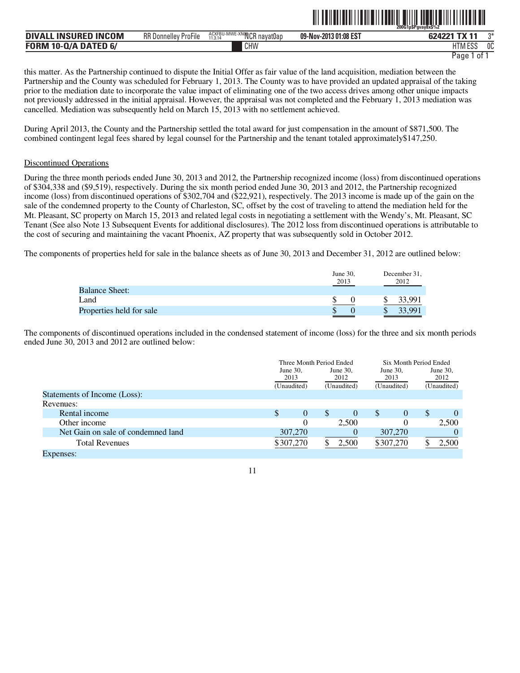|                             |                             | <u> 111   111   111   111   111   111   111   111   111   111   111   111   111   111   111   111   111   111</u><br>200G1pSPqvay8x\$%2 |                       |                          |     |
|-----------------------------|-----------------------------|-----------------------------------------------------------------------------------------------------------------------------------------|-----------------------|--------------------------|-----|
| <b>DIVALL INSURED INCOM</b> | <b>RR Donnelley ProFile</b> | ACXFBU-MWE-XNOOCR nayat0ap<br>11.3.14                                                                                                   | 09-Nov-2013 01:08 EST | 624221<br><b>TV 11</b>   | n.º |
| <b>FORM 10-Q/A DATED 6/</b> |                             | CHW                                                                                                                                     |                       | <b>ITALFOO</b><br>HIMEYY | OC  |

| CHW | <b>HTM ESS</b> | 0C |
|-----|----------------|----|
|     | . of 1<br>Page |    |

ˆ200G1p\$Pgvay8x\$%2Š **200G1p\$Pgvay8x\$%2** 

this matter. As the Partnership continued to dispute the Initial Offer as fair value of the land acquisition, mediation between the Partnership and the County was scheduled for February 1, 2013. The County was to have provided an updated appraisal of the taking prior to the mediation date to incorporate the value impact of eliminating one of the two access drives among other unique impacts not previously addressed in the initial appraisal. However, the appraisal was not completed and the February 1, 2013 mediation was cancelled. Mediation was subsequently held on March 15, 2013 with no settlement achieved.

During April 2013, the County and the Partnership settled the total award for just compensation in the amount of \$871,500. The combined contingent legal fees shared by legal counsel for the Partnership and the tenant totaled approximately\$147,250.

#### Discontinued Operations

During the three month periods ended June 30, 2013 and 2012, the Partnership recognized income (loss) from discontinued operations of \$304,338 and (\$9,519), respectively. During the six month period ended June 30, 2013 and 2012, the Partnership recognized income (loss) from discontinued operations of \$302,704 and (\$22,921), respectively. The 2013 income is made up of the gain on the sale of the condemned property to the County of Charleston, SC, offset by the cost of traveling to attend the mediation held for the Mt. Pleasant, SC property on March 15, 2013 and related legal costs in negotiating a settlement with the Wendy's, Mt. Pleasant, SC Tenant (See also Note 13 Subsequent Events for additional disclosures). The 2012 loss from discontinued operations is attributable to the cost of securing and maintaining the vacant Phoenix, AZ property that was subsequently sold in October 2012.

The components of properties held for sale in the balance sheets as of June 30, 2013 and December 31, 2012 are outlined below:

|                          | June $30$ .<br>2013 | December 31,<br>2012 |  |  |
|--------------------------|---------------------|----------------------|--|--|
| <b>Balance Sheet:</b>    |                     |                      |  |  |
| Land                     |                     | 33.991               |  |  |
| Properties held for sale | ND.                 | $.99^{\circ}$        |  |  |

The components of discontinued operations included in the condensed statement of income (loss) for the three and six month periods ended June 30, 2013 and 2012 are outlined below:

|                                    |             | Three Month Period Ended                |               |             | Six Month Period Ended |             |   |                     |
|------------------------------------|-------------|-----------------------------------------|---------------|-------------|------------------------|-------------|---|---------------------|
|                                    |             | June 30,<br>June $30$ ,<br>2013<br>2012 |               |             | June $30$ ,<br>2013    |             |   | June $30$ ,<br>2012 |
|                                    | (Unaudited) |                                         |               | (Unaudited) |                        | (Unaudited) |   | (Unaudited)         |
| Statements of Income (Loss):       |             |                                         |               |             |                        |             |   |                     |
| Revenues:                          |             |                                         |               |             |                        |             |   |                     |
| Rental income                      | S           | $\theta$                                | <sup>\$</sup> | $\theta$    | S                      | $\theta$    | S | $\Omega$            |
| Other income                       |             |                                         |               | 2.500       |                        |             |   | 2.500               |
| Net Gain on sale of condemned land |             | 307,270                                 |               |             |                        | 307,270     |   |                     |
| <b>Total Revenues</b>              | \$307,270   |                                         |               | 2,500       | \$307,270              |             |   | 2,500               |
| Expenses:                          |             |                                         |               |             |                        |             |   |                     |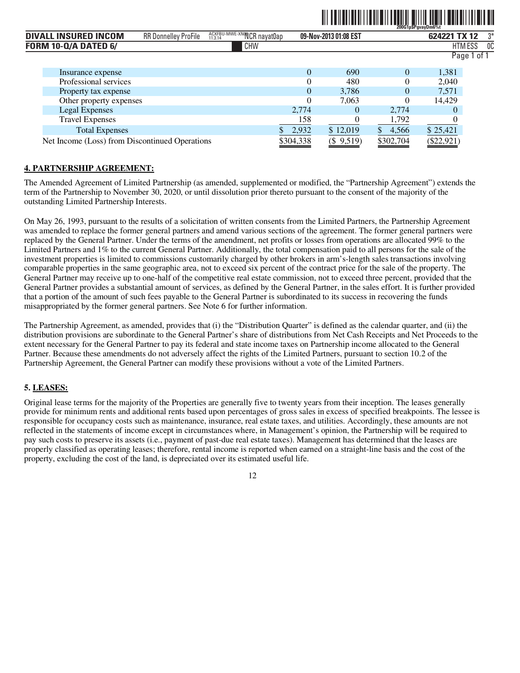|                                                |                             |                           |           |                       | 200G1pSPavavDm6%t |              |               |
|------------------------------------------------|-----------------------------|---------------------------|-----------|-----------------------|-------------------|--------------|---------------|
| <b>DIVALL INSURED INCOM</b>                    | <b>RR Donnelley ProFile</b> | ACXFBU-MWE-XNOCR nayat0ap |           | 09-Nov-2013 01:08 EST |                   | 624221 TX 12 | $3*$          |
| <b>FORM 10-Q/A DATED 6/</b>                    |                             | CHW                       |           |                       |                   | HTM ESS      | 0C            |
|                                                |                             |                           |           |                       |                   |              | Page 1 of $1$ |
| Insurance expense                              |                             |                           | $\Omega$  | 690                   | 0                 | 1,381        |               |
| Professional services                          |                             |                           |           | 480                   |                   | 2,040        |               |
| Property tax expense                           |                             |                           | $\theta$  | 3,786                 | $\Omega$          | 7,571        |               |
| Other property expenses                        |                             |                           |           | 7.063                 |                   | 14,429       |               |
| Legal Expenses                                 |                             |                           | 2.774     | $\theta$              | 2,774             | $\Omega$     |               |
| <b>Travel Expenses</b>                         |                             |                           | 158       |                       | 1,792             |              |               |
| <b>Total Expenses</b>                          |                             |                           | 2,932     | \$12,019              | 4,566             | \$25,421     |               |
| Net Income (Loss) from Discontinued Operations |                             |                           | \$304,338 | $(\$9,519)$           | \$302,704         | $(\$22,921)$ |               |

# **4. PARTNERSHIP AGREEMENT:**

The Amended Agreement of Limited Partnership (as amended, supplemented or modified, the "Partnership Agreement") extends the term of the Partnership to November 30, 2020, or until dissolution prior thereto pursuant to the consent of the majority of the outstanding Limited Partnership Interests.

On May 26, 1993, pursuant to the results of a solicitation of written consents from the Limited Partners, the Partnership Agreement was amended to replace the former general partners and amend various sections of the agreement. The former general partners were replaced by the General Partner. Under the terms of the amendment, net profits or losses from operations are allocated 99% to the Limited Partners and 1% to the current General Partner. Additionally, the total compensation paid to all persons for the sale of the investment properties is limited to commissions customarily charged by other brokers in arm's-length sales transactions involving comparable properties in the same geographic area, not to exceed six percent of the contract price for the sale of the property. The General Partner may receive up to one-half of the competitive real estate commission, not to exceed three percent, provided that the General Partner provides a substantial amount of services, as defined by the General Partner, in the sales effort. It is further provided that a portion of the amount of such fees payable to the General Partner is subordinated to its success in recovering the funds misappropriated by the former general partners. See Note 6 for further information.

The Partnership Agreement, as amended, provides that (i) the "Distribution Quarter" is defined as the calendar quarter, and (ii) the distribution provisions are subordinate to the General Partner's share of distributions from Net Cash Receipts and Net Proceeds to the extent necessary for the General Partner to pay its federal and state income taxes on Partnership income allocated to the General Partner. Because these amendments do not adversely affect the rights of the Limited Partners, pursuant to section 10.2 of the Partnership Agreement, the General Partner can modify these provisions without a vote of the Limited Partners.

# **5. LEASES:**

Original lease terms for the majority of the Properties are generally five to twenty years from their inception. The leases generally provide for minimum rents and additional rents based upon percentages of gross sales in excess of specified breakpoints. The lessee is responsible for occupancy costs such as maintenance, insurance, real estate taxes, and utilities. Accordingly, these amounts are not reflected in the statements of income except in circumstances where, in Management's opinion, the Partnership will be required to pay such costs to preserve its assets (i.e., payment of past-due real estate taxes). Management has determined that the leases are properly classified as operating leases; therefore, rental income is reported when earned on a straight-line basis and the cost of the property, excluding the cost of the land, is depreciated over its estimated useful life.

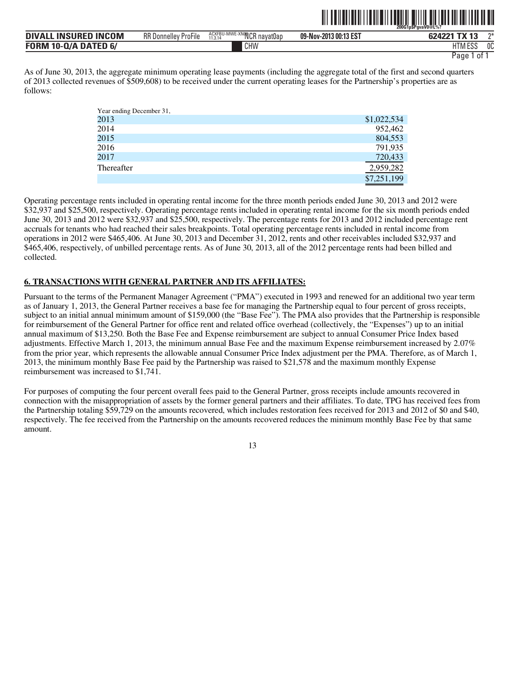|                             |                             |                             |                       | ZOOG1pSPavaV0@L%?      |    |
|-----------------------------|-----------------------------|-----------------------------|-----------------------|------------------------|----|
| DIVALL INSURED INCOM        | <b>RR Donnellev ProFile</b> | ACXFBU-MWE-XNORICR nayat0ap | 09-Nov-2013 00:13 EST | <b>TX 13</b><br>624221 | ግ* |
| <b>FORM 10-Q/A DATED 6/</b> |                             | CHW                         |                       | <b>HTM ESS</b>         | 0C |

ˆ200G1p\$PgvaV0@L%?Š **200G1p\$PgvaV0@L%?**

As of June 30, 2013, the aggregate minimum operating lease payments (including the aggregate total of the first and second quarters of 2013 collected revenues of \$509,608) to be received under the current operating leases for the Partnership's properties are as follows:

| Year ending December 31, |             |
|--------------------------|-------------|
| 2013                     | \$1,022,534 |
| 2014                     | 952,462     |
| 2015                     | 804,553     |
| 2016                     | 791,935     |
| 2017                     | 720,433     |
| Thereafter               | 2,959,282   |
|                          | \$7,251,199 |

Operating percentage rents included in operating rental income for the three month periods ended June 30, 2013 and 2012 were \$32,937 and \$25,500, respectively. Operating percentage rents included in operating rental income for the six month periods ended June 30, 2013 and 2012 were \$32,937 and \$25,500, respectively. The percentage rents for 2013 and 2012 included percentage rent accruals for tenants who had reached their sales breakpoints. Total operating percentage rents included in rental income from operations in 2012 were \$465,406. At June 30, 2013 and December 31, 2012, rents and other receivables included \$32,937 and  $$465,406$ , respectively, of unbilled percentage rents. As of June 30, 2013, all of the 2012 percentage rents had been billed and collected.

# **6. TRANSACTIONS WITH GENERAL PARTNER AND ITS AFFILIATES:**

Pursuant to the terms of the Permanent Manager Agreement ("PMA") executed in 1993 and renewed for an additional two year term as of January 1, 2013, the General Partner receives a base fee for managing the Partnership equal to four percent of gross receipts, subject to an initial annual minimum amount of \$159,000 (the "Base Fee"). The PMA also provides that the Partnership is responsible for reimbursement of the General Partner for office rent and related office overhead (collectively, the "Expenses") up to an initial annual maximum of \$13,250. Both the Base Fee and Expense reimbursement are subject to annual Consumer Price Index based adjustments. Effective March 1, 2013, the minimum annual Base Fee and the maximum Expense reimbursement increased by  $2.07\%$ from the prior year, which represents the allowable annual Consumer Price Index adjustment per the PMA. Therefore, as of March 1, 2013, the minimum monthly Base Fee paid by the Partnership was raised to \$21,578 and the maximum monthly Expense reimbursement was increased to \$1,741.

For purposes of computing the four percent overall fees paid to the General Partner, gross receipts include amounts recovered in connection with the misappropriation of assets by the former general partners and their affiliates. To date, TPG has received fees from the Partnership totaling \$59,729 on the amounts recovered, which includes restoration fees received for 2013 and 2012 of \$0 and \$40, respectively. The fee received from the Partnership on the amounts recovered reduces the minimum monthly Base Fee by that same amount.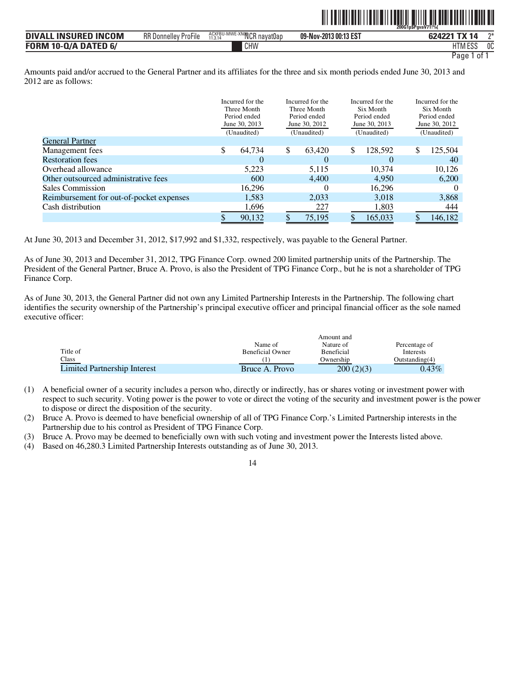|                             |                             |                                       |                       | $200$ G1pSPavaV71%         |    |  |  |
|-----------------------------|-----------------------------|---------------------------------------|-----------------------|----------------------------|----|--|--|
| <b>DIVALL INSURED INCOM</b> | <b>RR Donnelley ProFile</b> | ACXFBU-MWE-XNOOCR nayat0ap<br>11.3.14 | 09-Nov-2013 00:13 EST | 624221 TX 14               | ግ* |  |  |
| <b>FORM 10-Q/A DATED 6/</b> |                             | CHW                                   |                       | <b>ITN</b><br>H I IVI E 22 | 0C |  |  |

ˆ200G1p\$PgvaV71!%{Š **200G1p\$PgvaV71!%{**

Amounts paid and/or accrued to the General Partner and its affiliates for the three and six month periods ended June 30, 2013 and 2012 are as follows:

|                                          | Incurred for the<br>Three Month<br>Period ended<br>June 30, 2013<br>(Unaudited) | Incurred for the<br>Three Month<br>Period ended<br>June 30, 2012<br>(Unaudited) | Incurred for the<br>Six Month<br>Period ended<br>June 30, 2013<br>(Unaudited) | Incurred for the<br>Six Month<br>Period ended<br>June 30, 2012<br>(Unaudited) |
|------------------------------------------|---------------------------------------------------------------------------------|---------------------------------------------------------------------------------|-------------------------------------------------------------------------------|-------------------------------------------------------------------------------|
| <b>General Partner</b>                   |                                                                                 |                                                                                 |                                                                               |                                                                               |
| Management fees                          | \$<br>64,734                                                                    | \$<br>63,420                                                                    | \$<br>128,592                                                                 | \$<br>125,504                                                                 |
| <b>Restoration fees</b>                  | 0                                                                               | $\theta$                                                                        | $\Omega$                                                                      | 40                                                                            |
| Overhead allowance                       | 5,223                                                                           | 5,115                                                                           | 10,374                                                                        | 10,126                                                                        |
| Other outsourced administrative fees     | 600                                                                             | 4,400                                                                           | 4.950                                                                         | 6,200                                                                         |
| Sales Commission                         | 16,296                                                                          | 0                                                                               | 16,296                                                                        | $\theta$                                                                      |
| Reimbursement for out-of-pocket expenses | 1,583                                                                           | 2,033                                                                           | 3,018                                                                         | 3,868                                                                         |
| Cash distribution                        | 1,696                                                                           | 227                                                                             | 1,803                                                                         | 444                                                                           |
|                                          | 90,132                                                                          | 75,195                                                                          | 165,033                                                                       | 146,182                                                                       |

At June 30, 2013 and December 31, 2012, \$17,992 and \$1,332, respectively, was payable to the General Partner.

As of June 30, 2013 and December 31, 2012, TPG Finance Corp. owned 200 limited partnership units of the Partnership. The President of the General Partner, Bruce A. Provo, is also the President of TPG Finance Corp., but he is not a shareholder of TPG Finance Corp.

As of June 30, 2013, the General Partner did not own any Limited Partnership Interests in the Partnership. The following chart identifies the security ownership of the Partnership's principal executive officer and principal financial officer as the sole named executive officer:

|                              |                         | Amount and |                |  |
|------------------------------|-------------------------|------------|----------------|--|
|                              | Name of                 | Nature of  | Percentage of  |  |
| Title of                     | <b>Beneficial Owner</b> | Beneficial | Interests      |  |
| Class                        |                         | Ownership  | Outstanding(4) |  |
| Limited Partnership Interest | Bruce A. Provo          | 200(2)(3)  | $0.43\%$       |  |

- (1) A beneficial owner of a security includes a person who, directly or indirectly, has or shares voting or investment power with respect to such security. Voting power is the power to vote or direct the voting of the security and investment power is the power to dispose or direct the disposition of the security.
- (2) Bruce A. Provo is deemed to have beneficial ownership of all of TPG Finance Corp.'s Limited Partnership interests in the Partnership due to his control as President of TPG Finance Corp.
- (3) Bruce A. Provo may be deemed to beneficially own with such voting and investment power the Interests listed above.
- (4) Based on 46,280.3 Limited Partnership Interests outstanding as of June 30, 2013.

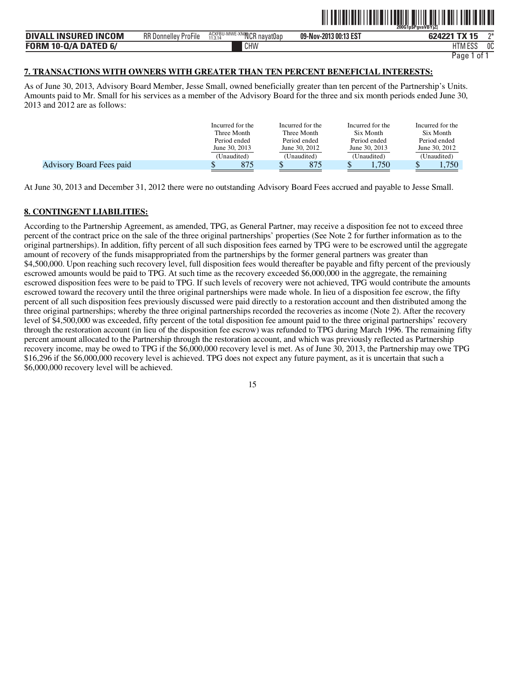| . INSURED INCOM<br><b>DIVALL</b> | <b>RR Donnelley ProFile</b> | ACXFBU-MWE-XNOOCR nayat0ap<br>11.3.14 | 09-Nov-2013 00:13 EST | 1 TV 4 F | $n*$ |
|----------------------------------|-----------------------------|---------------------------------------|-----------------------|----------|------|
| <b>FORM 10-Q/A DATED 6/</b>      |                             | CHW                                   |                       | 11M ESS  | 0C   |

ˆ200G1p\$PgvaVBYjZ[Š **200G1p\$PgvaVBYjZ[**

# **7. TRANSACTIONS WITH OWNERS WITH GREATER THAN TEN PERCENT BENEFICIAL INTERESTS:**

As of June 30, 2013, Advisory Board Member, Jesse Small, owned beneficially greater than ten percent of the Partnership's Units. Amounts paid to Mr. Small for his services as a member of the Advisory Board for the three and six month periods ended June 30, 2013 and 2012 are as follows:

|                          | Incurred for the | Incurred for the | Incurred for the | Incurred for the |
|--------------------------|------------------|------------------|------------------|------------------|
|                          | Three Month      | Three Month      | Six Month        | Six Month        |
|                          | Period ended     | Period ended     | Period ended     | Period ended     |
|                          | June 30, 2013    | June 30, 2012    | June 30, 2013    | June 30, 2012    |
|                          | (Unaudited)      | (Unaudited)      | (Unaudited)      | (Unaudited)      |
| Advisory Board Fees paid | 875              | 875              | 1.750            | 1.750            |

At June 30, 2013 and December 31, 2012 there were no outstanding Advisory Board Fees accrued and payable to Jesse Small.

# **8. CONTINGENT LIABILITIES:**

According to the Partnership Agreement, as amended, TPG, as General Partner, may receive a disposition fee not to exceed three percent of the contract price on the sale of the three original partnerships' properties (See Note 2 for further information as to the original partnerships). In addition, fifty percent of all such disposition fees earned by TPG were to be escrowed until the aggregate amount of recovery of the funds misappropriated from the partnerships by the former general partners was greater than \$4,500,000. Upon reaching such recovery level, full disposition fees would thereafter be payable and fifty percent of the previously escrowed amounts would be paid to TPG. At such time as the recovery exceeded \$6,000,000 in the aggregate, the remaining escrowed disposition fees were to be paid to TPG. If such levels of recovery were not achieved, TPG would contribute the amounts escrowed toward the recovery until the three original partnerships were made whole. In lieu of a disposition fee escrow, the fifty percent of all such disposition fees previously discussed were paid directly to a restoration account and then distributed among the three original partnerships; whereby the three original partnerships recorded the recoveries as income (Note 2). After the recovery level of \$4,500,000 was exceeded, fifty percent of the total disposition fee amount paid to the three original partnerships' recovery through the restoration account (in lieu of the disposition fee escrow) was refunded to TPG during March 1996. The remaining fifty percent amount allocated to the Partnership through the restoration account, and which was previously reflected as Partnership recovery income, may be owed to TPG if the \$6,000,000 recovery level is met. As of June 30, 2013, the Partnership may owe TPG \$16,296 if the \$6,000,000 recovery level is achieved. TPG does not expect any future payment, as it is uncertain that such a \$6,000,000 recovery level will be achieved.

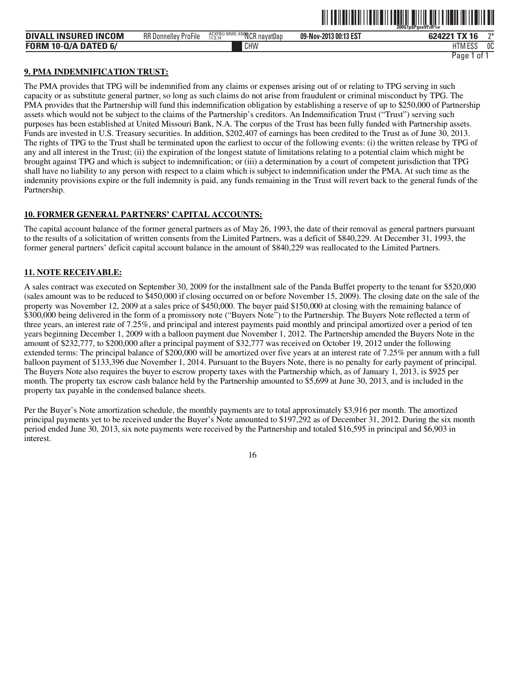|                                 |                             |                                       |                       | 200G1pSPavaVFzR%v    |
|---------------------------------|-----------------------------|---------------------------------------|-----------------------|----------------------|
| . INSURED INCOM<br><b>DIVAL</b> | <b>RR Donnelley ProFile</b> | ACXFBU-MWE-XNOOCR navat0ap<br>11.3.14 | 09-Nov-2013 00:13 EST | $n*$<br>624221 TX 16 |
| <b>FORM 10-Q/A DATED 6/</b>     |                             | CHW                                   |                       | 0C<br>HTM ESJ        |
|                                 |                             |                                       |                       | Page<br>0t           |

ˆ200G1p\$PgvaVFzR%vŠ **200G1p\$PgvaVFzR%v**

#### **9. PMA INDEMNIFICATION TRUST:**

The PMA provides that TPG will be indemnified from any claims or expenses arising out of or relating to TPG serving in such capacity or as substitute general partner, so long as such claims do not arise from fraudulent or criminal misconduct by TPG. The PMA provides that the Partnership will fund this indemnification obligation by establishing a reserve of up to \$250,000 of Partnership assets which would not be subject to the claims of the Partnership's creditors. An Indemnification Trust ("Trust") serving such purposes has been established at United Missouri Bank, N.A. The corpus of the Trust has been fully funded with Partnership assets. Funds are invested in U.S. Treasury securities. In addition, \$202,407 of earnings has been credited to the Trust as of June 30, 2013. The rights of TPG to the Trust shall be terminated upon the earliest to occur of the following events: (i) the written release by TPG of any and all interest in the Trust; (ii) the expiration of the longest statute of limitations relating to a potential claim which might be brought against TPG and which is subject to indemnification; or (iii) a determination by a court of competent jurisdiction that TPG shall have no liability to any person with respect to a claim which is subject to indemnification under the PMA. At such time as the indemnity provisions expire or the full indemnity is paid, any funds remaining in the Trust will revert back to the general funds of the Partnership.

# **10. FORMER GENERAL PARTNERS' CAPITAL ACCOUNTS:**

The capital account balance of the former general partners as of May 26, 1993, the date of their removal as general partners pursuant to the results of a solicitation of written consents from the Limited Partners, was a deficit of \$840,229. At December 31, 1993, the former general partners' deficit capital account balance in the amount of \$840,229 was reallocated to the Limited Partners.

# **11. NOTE RECEIVABLE:**

A sales contract was executed on September 30, 2009 for the installment sale of the Panda Buffet property to the tenant for \$520,000 (sales amount was to be reduced to \$450,000 if closing occurred on or before November 15, 2009). The closing date on the sale of the property was November 12, 2009 at a sales price of \$450,000. The buyer paid \$150,000 at closing with the remaining balance of \$300,000 being delivered in the form of a promissory note ("Buyers Note") to the Partnership. The Buyers Note reflected a term of three years, an interest rate of 7.25%, and principal and interest payments paid monthly and principal amortized over a period of ten years beginning December 1, 2009 with a balloon payment due November 1, 2012. The Partnership amended the Buyers Note in the amount of \$232,777, to \$200,000 after a principal payment of \$32,777 was received on October 19, 2012 under the following extended terms: The principal balance of \$200,000 will be amortized over five years at an interest rate of 7.25% per annum with a full balloon payment of \$133,396 due November 1, 2014. Pursuant to the Buyers Note, there is no penalty for early payment of principal. The Buyers Note also requires the buyer to escrow property taxes with the Partnership which, as of January 1, 2013, is \$925 per month. The property tax escrow cash balance held by the Partnership amounted to \$5,699 at June 30, 2013, and is included in the property tax payable in the condensed balance sheets.

Per the Buyer's Note amortization schedule, the monthly payments are to total approximately \$3,916 per month. The amortized principal payments yet to be received under the Buyer's Note amounted to \$197,292 as of December 31, 2012. During the six month period ended June 30, 2013, six note payments were received by the Partnership and totaled \$16,595 in principal and \$6,903 in interest.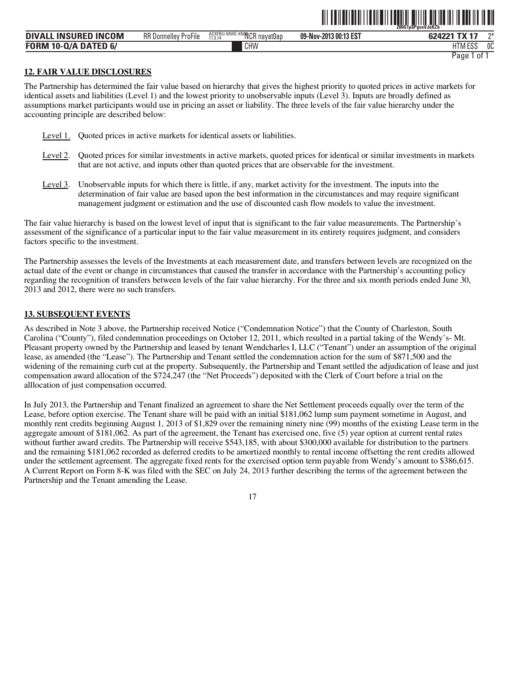|                                 |                             |                                      |                       | ZUUGIDSPQVAVJEKZN            |
|---------------------------------|-----------------------------|--------------------------------------|-----------------------|------------------------------|
| . INSURED INCOM<br><b>DIVAL</b> | <b>RR Donnelley ProFile</b> | ACXFBU-MWE-XNOCR nayat0ap<br>11.3.14 | 09-Nov-2013 00:13 EST | <b>TV 47</b><br>ግ*<br>624221 |
| <b>FORM 10-Q/A DATED 6/</b>     |                             | CHW                                  |                       | <b>HTM ESS</b><br>0C         |
|                                 |                             |                                      |                       | 0t<br>Page                   |

ˆ200G1p\$PgvaVJeKZhŠ **200G1p\$PgvaVJeKZh**

#### **12. FAIR VALUE DISCLOSURES**

The Partnership has determined the fair value based on hierarchy that gives the highest priority to quoted prices in active markets for identical assets and liabilities (Level 1) and the lowest priority to unobservable inputs (Level 3). Inputs are broadly defined as assumptions market participants would use in pricing an asset or liability. The three levels of the fair value hierarchy under the accounting principle are described below:

- Level 1. Quoted prices in active markets for identical assets or liabilities.
- Level 2. Quoted prices for similar investments in active markets, quoted prices for identical or similar investments in markets that are not active, and inputs other than quoted prices that are observable for the investment.
- Level 3. Unobservable inputs for which there is little, if any, market activity for the investment. The inputs into the determination of fair value are based upon the best information in the circumstances and may require significant management judgment or estimation and the use of discounted cash flow models to value the investment.

The fair value hierarchy is based on the lowest level of input that is significant to the fair value measurements. The Partnership's assessment of the significance of a particular input to the fair value measurement in its entirety requires judgment, and considers factors specific to the investment.

The Partnership assesses the levels of the Investments at each measurement date, and transfers between levels are recognized on the actual date of the event or change in circumstances that caused the transfer in accordance with the Partnership's accounting policy regarding the recognition of transfers between levels of the fair value hierarchy. For the three and six month periods ended June 30, 2013 and 2012, there were no such transfers.

#### **13. SUBSEQUENT EVENTS**

As described in Note 3 above, the Partnership received Notice ("Condemnation Notice") that the County of Charleston, South Carolina ("County"), filed condemnation proceedings on October 12, 2011, which resulted in a partial taking of the Wendy's- Mt. Pleasant property owned by the Partnership and leased by tenant Wendcharles I, LLC ("Tenant") under an assumption of the original lease, as amended (the "Lease"). The Partnership and Tenant settled the condemnation action for the sum of \$871,500 and the widening of the remaining curb cut at the property. Subsequently, the Partnership and Tenant settled the adjudication of lease and just compensation award allocation of the \$724,247 (the "Net Proceeds") deposited with the Clerk of Court before a trial on the alllocation of just compensation occurred.

In July 2013, the Partnership and Tenant finalized an agreement to share the Net Settlement proceeds equally over the term of the Lease, before option exercise. The Tenant share will be paid with an initial \$181,062 lump sum payment sometime in August, and monthly rent credits beginning August 1, 2013 of \$1,829 over the remaining ninety nine (99) months of the existing Lease term in the aggregate amount of \$181,062. As part of the agreement, the Tenant has exercised one, five (5) year option at current rental rates without further award credits. The Partnership will receive \$543,185, with about \$300,000 available for distribution to the partners and the remaining \$181,062 recorded as deferred credits to be amortized monthly to rental income offsetting the rent credits allowed under the settlement agreement. The aggregate fixed rents for the exercised option term payable from Wendy's amount to \$386,615. A Current Report on Form 8-K was filed with the SEC on July 24, 2013 further describing the terms of the agreement between the Partnership and the Tenant amending the Lease.

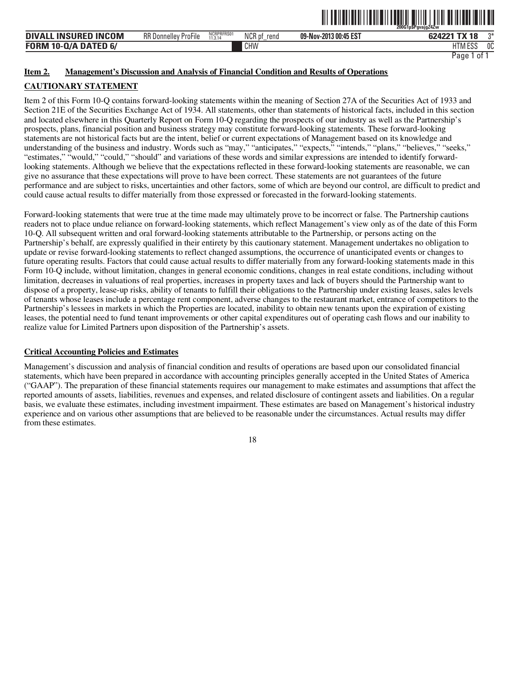|                             |                             |                       |                            |                       | 200G1pSPgvajgZ4Zw |    |
|-----------------------------|-----------------------------|-----------------------|----------------------------|-----------------------|-------------------|----|
| <b>DIVALL INSURED INCOM</b> | <b>RR Donnelley ProFile</b> | NCRPRFRS01<br>11.3.14 | <b>NCR</b><br>' nt<br>rend | 09-Nov-2013 00:45 EST | 624221 TX 18      | ∩Ж |
| <b>FORM 10-Q/A DATED 6/</b> |                             |                       | <b>CHW</b>                 |                       | HIM ESS           | 0C |

ˆ200G1p\$PgvajgZ4ZwŠ **200G1p\$PgvajgZ4Zw**

# **Item 2. Management's Discussion and Analysis of Financial Condition and Results of Operations**

# **CAUTIONARY STATEMENT**

Item 2 of this Form 10-Q contains forward-looking statements within the meaning of Section 27A of the Securities Act of 1933 and Section 21E of the Securities Exchange Act of 1934. All statements, other than statements of historical facts, included in this section and located elsewhere in this Quarterly Report on Form 10-Q regarding the prospects of our industry as well as the Partnership's prospects, plans, financial position and business strategy may constitute forward-looking statements. These forward-looking statements are not historical facts but are the intent, belief or current expectations of Management based on its knowledge and understanding of the business and industry. Words such as "may," "anticipates," "expects," "intends," "plans," "believes," "seeks," "estimates," "would," "could," "should" and variations of these words and similar expressions are intended to identify forwardlooking statements. Although we believe that the expectations reflected in these forward-looking statements are reasonable, we can give no assurance that these expectations will prove to have been correct. These statements are not guarantees of the future performance and are subject to risks, uncertainties and other factors, some of which are beyond our control, are difficult to predict and could cause actual results to differ materially from those expressed or forecasted in the forward-looking statements.

Forward-looking statements that were true at the time made may ultimately prove to be incorrect or false. The Partnership cautions readers not to place undue reliance on forward-looking statements, which reflect Management's view only as of the date of this Form 10-Q. All subsequent written and oral forward-looking statements attributable to the Partnership, or persons acting on the Partnership's behalf, are expressly qualified in their entirety by this cautionary statement. Management undertakes no obligation to update or revise forward-looking statements to reflect changed assumptions, the occurrence of unanticipated events or changes to future operating results. Factors that could cause actual results to differ materially from any forward-looking statements made in this Form 10-Q include, without limitation, changes in general economic conditions, changes in real estate conditions, including without limitation, decreases in valuations of real properties, increases in property taxes and lack of buyers should the Partnership want to dispose of a property, lease-up risks, ability of tenants to fulfill their obligations to the Partnership under existing leases, sales levels of tenants whose leases include a percentage rent component, adverse changes to the restaurant market, entrance of competitors to the Partnership's lessees in markets in which the Properties are located, inability to obtain new tenants upon the expiration of existing leases, the potential need to fund tenant improvements or other capital expenditures out of operating cash flows and our inability to realize value for Limited Partners upon disposition of the Partnership's assets.

# **Critical Accounting Policies and Estimates**

Management's discussion and analysis of financial condition and results of operations are based upon our consolidated financial statements, which have been prepared in accordance with accounting principles generally accepted in the United States of America ("GAAP"). The preparation of these financial statements requires our management to make estimates and assumptions that affect the reported amounts of assets, liabilities, revenues and expenses, and related disclosure of contingent assets and liabilities. On a regular basis, we evaluate these estimates, including investment impairment. These estimates are based on Management's historical industry experience and on various other assumptions that are believed to be reasonable under the circumstances. Actual results may differ from these estimates.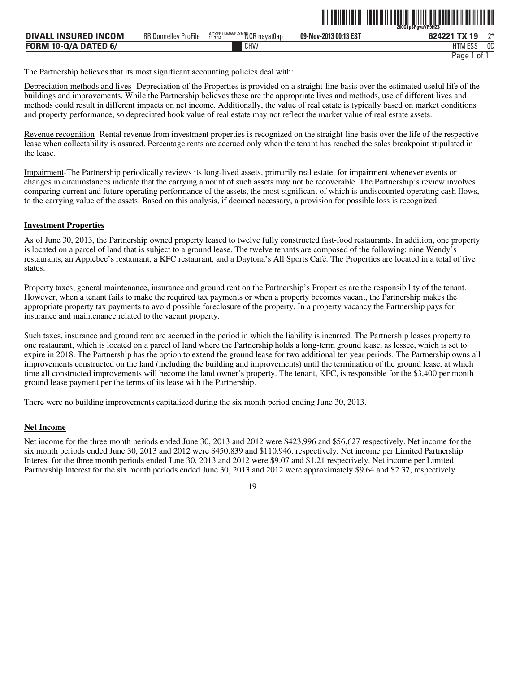|                                                         |                                        |                                              |                       | 200G1pSPqvaVP9HZS<br>_ . _ _ _   |    |
|---------------------------------------------------------|----------------------------------------|----------------------------------------------|-----------------------|----------------------------------|----|
| . INSURED INCOM<br><b>DIVALL</b>                        | .<br><b>RR</b> Donnel<br>Nev ProFile \ | BU-MWE-XNOOCR nayat0ap<br>ACXFBU-<br>11.3.14 | 09-Nov-2013 00:13 EST | <b>TY 10</b><br>624221<br>l A    | ግ* |
| <b>FORM 10-Q/A</b><br>DA <sup>.</sup><br><b>ATED 6/</b> |                                        | CHW                                          |                       | 1.500<br>ITA<br>I I I V<br>י נטע | 0C |

ˆ200G1p\$PgvaVP9HZ\$Š **200G1p\$PgvaVP9HZ\$**

The Partnership believes that its most significant accounting policies deal with:

Depreciation methods and lives- Depreciation of the Properties is provided on a straight-line basis over the estimated useful life of the buildings and improvements. While the Partnership believes these are the appropriate lives and methods, use of different lives and methods could result in different impacts on net income. Additionally, the value of real estate is typically based on market conditions and property performance, so depreciated book value of real estate may not reflect the market value of real estate assets.

Revenue recognition- Rental revenue from investment properties is recognized on the straight-line basis over the life of the respective lease when collectability is assured. Percentage rents are accrued only when the tenant has reached the sales breakpoint stipulated in the lease.

Impairment-The Partnership periodically reviews its long-lived assets, primarily real estate, for impairment whenever events or changes in circumstances indicate that the carrying amount of such assets may not be recoverable. The Partnership's review involves comparing current and future operating performance of the assets, the most significant of which is undiscounted operating cash flows, to the carrying value of the assets. Based on this analysis, if deemed necessary, a provision for possible loss is recognized.

# **Investment Properties**

As of June 30, 2013, the Partnership owned property leased to twelve fully constructed fast-food restaurants. In addition, one property is located on a parcel of land that is subject to a ground lease. The twelve tenants are composed of the following: nine Wendy's restaurants, an Applebee's restaurant, a KFC restaurant, and a Daytona's All Sports Café. The Properties are located in a total of five states.

Property taxes, general maintenance, insurance and ground rent on the Partnership's Properties are the responsibility of the tenant. However, when a tenant fails to make the required tax payments or when a property becomes vacant, the Partnership makes the appropriate property tax payments to avoid possible foreclosure of the property. In a property vacancy the Partnership pays for insurance and maintenance related to the vacant property.

Such taxes, insurance and ground rent are accrued in the period in which the liability is incurred. The Partnership leases property to one restaurant, which is located on a parcel of land where the Partnership holds a long-term ground lease, as lessee, which is set to expire in 2018. The Partnership has the option to extend the ground lease for two additional ten year periods. The Partnership owns all improvements constructed on the land (including the building and improvements) until the termination of the ground lease, at which time all constructed improvements will become the land owner's property. The tenant, KFC, is responsible for the \$3,400 per month ground lease payment per the terms of its lease with the Partnership.

There were no building improvements capitalized during the six month period ending June 30, 2013.

# **Net Income**

Net income for the three month periods ended June 30, 2013 and 2012 were \$423,996 and \$56,627 respectively. Net income for the six month periods ended June 30, 2013 and 2012 were \$450,839 and \$110,946, respectively. Net income per Limited Partnership Interest for the three month periods ended June 30, 2013 and 2012 were \$9.07 and \$1.21 respectively. Net income per Limited Partnership Interest for the six month periods ended June 30, 2013 and 2012 were approximately \$9.64 and \$2.37, respectively.

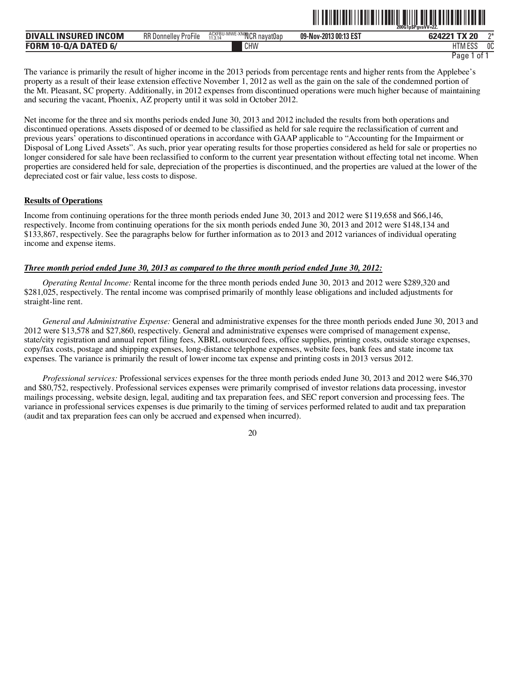|                             |                             |                                       |                       | 200G1pSPavaVV=2Z. |      |
|-----------------------------|-----------------------------|---------------------------------------|-----------------------|-------------------|------|
| DIVALL INSURED INCOM        | <b>RR Donnelley ProFile</b> | ACXFBU-MWE-XNOOCR nayat0ap<br>11.3.14 | 09-Nov-2013 00:13 EST | 624221 TX 20      | $n+$ |
| <b>FORM 10-Q/A DATED 6/</b> |                             | CHW                                   |                       | <b>HTM ESS</b>    | 0C   |

ˆ200G1p\$PgvaVV=2Z.Š **200G1p\$PgvaVV=2Z.** 

The variance is primarily the result of higher income in the 2013 periods from percentage rents and higher rents from the Applebee's property as a result of their lease extension effective November 1, 2012 as well as the gain on the sale of the condemned portion of the Mt. Pleasant, SC property. Additionally, in 2012 expenses from discontinued operations were much higher because of maintaining and securing the vacant, Phoenix, AZ property until it was sold in October 2012.

Net income for the three and six months periods ended June 30, 2013 and 2012 included the results from both operations and discontinued operations. Assets disposed of or deemed to be classified as held for sale require the reclassification of current and previous years' operations to discontinued operations in accordance with GAAP applicable to "Accounting for the Impairment or Disposal of Long Lived Assets". As such, prior year operating results for those properties considered as held for sale or properties no longer considered for sale have been reclassified to conform to the current year presentation without effecting total net income. When properties are considered held for sale, depreciation of the properties is discontinued, and the properties are valued at the lower of the depreciated cost or fair value, less costs to dispose.

# **Results of Operations**

Income from continuing operations for the three month periods ended June 30, 2013 and 2012 were \$119,658 and \$66,146, respectively. Income from continuing operations for the six month periods ended June 30, 2013 and 2012 were \$148,134 and \$133,867, respectively. See the paragraphs below for further information as to 2013 and 2012 variances of individual operating income and expense items.

# *Three month period ended June 30, 2013 as compared to the three month period ended June 30, 2012:*

*Operating Rental Income:* Rental income for the three month periods ended June 30, 2013 and 2012 were \$289,320 and \$281,025, respectively. The rental income was comprised primarily of monthly lease obligations and included adjustments for straight-line rent.

*General and Administrative Expense:* General and administrative expenses for the three month periods ended June 30, 2013 and 2012 were \$13,578 and \$27,860, respectively. General and administrative expenses were comprised of management expense, state/city registration and annual report filing fees, XBRL outsourced fees, office supplies, printing costs, outside storage expenses, copy/fax costs, postage and shipping expenses, long-distance telephone expenses, website fees, bank fees and state income tax expenses. The variance is primarily the result of lower income tax expense and printing costs in 2013 versus 2012.

*Professional services:* Professional services expenses for the three month periods ended June 30, 2013 and 2012 were \$46,370 and \$80,752, respectively. Professional services expenses were primarily comprised of investor relations data processing, investor mailings processing, website design, legal, auditing and tax preparation fees, and SEC report conversion and processing fees. The variance in professional services expenses is due primarily to the timing of services performed related to audit and tax preparation (audit and tax preparation fees can only be accrued and expensed when incurred).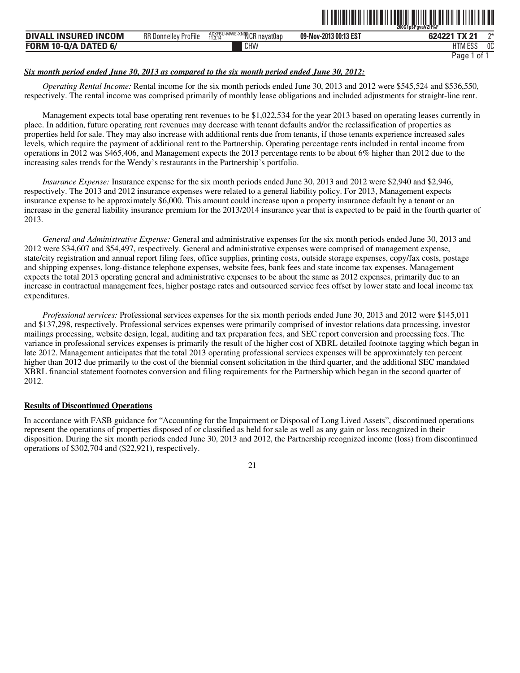| <b>DIVALL INSURED INCOM</b> | <b>RR Donnelley ProFile</b> | ACXFBU-MWE-XNO CR navat0ap<br>11.3.14 | 09-Nov-2013 00:13 EST | $\gamma^*$<br>624221 TX 21 |
|-----------------------------|-----------------------------|---------------------------------------|-----------------------|----------------------------|
| <b>FORM 10-Q/A DATED 6/</b> |                             | CHW                                   |                       | 0C<br>HTM ESS              |
|                             |                             |                                       |                       | Page<br>0t                 |

ˆ200G1p\$PgvaVZlf%FŠ **200G1p\$PgvaVZlf%F**

# *Six month period ended June 30, 2013 as compared to the six month period ended June 30, 2012:*

*Operating Rental Income:* Rental income for the six month periods ended June 30, 2013 and 2012 were \$545,524 and \$536,550, respectively. The rental income was comprised primarily of monthly lease obligations and included adjustments for straight-line rent.

Management expects total base operating rent revenues to be \$1,022,534 for the year 2013 based on operating leases currently in place. In addition, future operating rent revenues may decrease with tenant defaults and/or the reclassification of properties as properties held for sale. They may also increase with additional rents due from tenants, if those tenants experience increased sales levels, which require the payment of additional rent to the Partnership. Operating percentage rents included in rental income from operations in 2012 was \$465,406, and Management expects the 2013 percentage rents to be about 6% higher than 2012 due to the increasing sales trends for the Wendy's restaurants in the Partnership's portfolio.

*Insurance Expense:* Insurance expense for the six month periods ended June 30, 2013 and 2012 were \$2,940 and \$2,946, respectively. The 2013 and 2012 insurance expenses were related to a general liability policy. For 2013, Management expects insurance expense to be approximately \$6,000. This amount could increase upon a property insurance default by a tenant or an increase in the general liability insurance premium for the 2013/2014 insurance year that is expected to be paid in the fourth quarter of 2013.

*General and Administrative Expense:* General and administrative expenses for the six month periods ended June 30, 2013 and 2012 were \$34,607 and \$54,497, respectively. General and administrative expenses were comprised of management expense, state/city registration and annual report filing fees, office supplies, printing costs, outside storage expenses, copy/fax costs, postage and shipping expenses, long-distance telephone expenses, website fees, bank fees and state income tax expenses. Management expects the total 2013 operating general and administrative expenses to be about the same as 2012 expenses, primarily due to an increase in contractual management fees, higher postage rates and outsourced service fees offset by lower state and local income tax expenditures.

*Professional services:* Professional services expenses for the six month periods ended June 30, 2013 and 2012 were \$145,011 and \$137,298, respectively. Professional services expenses were primarily comprised of investor relations data processing, investor mailings processing, website design, legal, auditing and tax preparation fees, and SEC report conversion and processing fees. The variance in professional services expenses is primarily the result of the higher cost of XBRL detailed footnote tagging which began in late 2012. Management anticipates that the total 2013 operating professional services expenses will be approximately ten percent higher than 2012 due primarily to the cost of the biennial consent solicitation in the third quarter, and the additional SEC mandated XBRL financial statement footnotes conversion and filing requirements for the Partnership which began in the second quarter of 2012.

#### **Results of Discontinued Operations**

In accordance with FASB guidance for "Accounting for the Impairment or Disposal of Long Lived Assets", discontinued operations represent the operations of properties disposed of or classified as held for sale as well as any gain or loss recognized in their disposition. During the six month periods ended June 30, 2013 and 2012, the Partnership recognized income (loss) from discontinued operations of \$302,704 and (\$22,921), respectively.

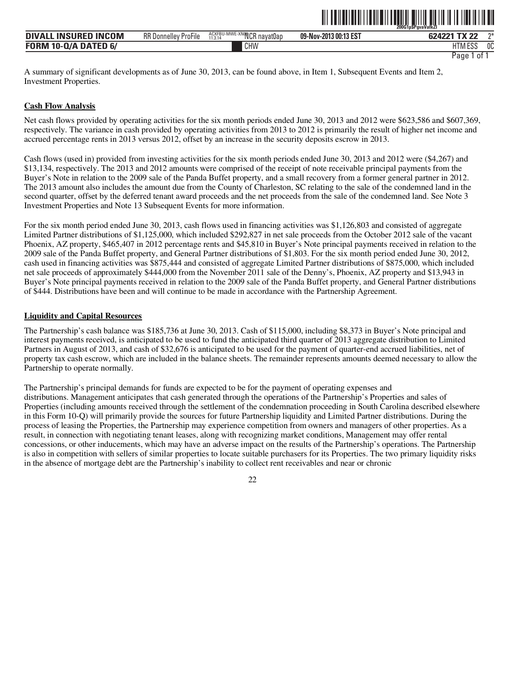|                                  |                             |                                      |                       | 200G1pSPavaVatkZl                           |      |
|----------------------------------|-----------------------------|--------------------------------------|-----------------------|---------------------------------------------|------|
| . INSURED INCOM<br><b>DIVALL</b> | <b>RR Donnelley ProFile</b> | ACXFBU-MWE-XNOCR nayat0ap<br>11.3.14 | 09-Nov-2013 00:13 EST | <b>TV</b><br>624221<br>n <sub>n</sub><br>22 | $n+$ |
| <b>FORM 10-Q/A DATED 6/</b>      |                             | CHW                                  |                       | <b>HTM ESS</b>                              | 0C   |
|                                  |                             |                                      |                       | Page<br>0t                                  |      |

**TIL EEN FILIEN IN FILIEN EN FERIHEN EN DIE DIE IN DIE IN DIE IN DIE EEN** 

A summary of significant developments as of June 30, 2013, can be found above, in Item 1, Subsequent Events and Item 2, Investment Properties.

#### **Cash Flow Analysis**

Net cash flows provided by operating activities for the six month periods ended June 30, 2013 and 2012 were \$623,586 and \$607,369, respectively. The variance in cash provided by operating activities from 2013 to 2012 is primarily the result of higher net income and accrued percentage rents in 2013 versus 2012, offset by an increase in the security deposits escrow in 2013.

Cash flows (used in) provided from investing activities for the six month periods ended June 30, 2013 and 2012 were (\$4,267) and \$13,134, respectively. The 2013 and 2012 amounts were comprised of the receipt of note receivable principal payments from the Buyer's Note in relation to the 2009 sale of the Panda Buffet property, and a small recovery from a former general partner in 2012. The 2013 amount also includes the amount due from the County of Charleston, SC relating to the sale of the condemned land in the second quarter, offset by the deferred tenant award proceeds and the net proceeds from the sale of the condemned land. See Note 3 Investment Properties and Note 13 Subsequent Events for more information.

For the six month period ended June 30, 2013, cash flows used in financing activities was \$1,126,803 and consisted of aggregate Limited Partner distributions of \$1,125,000, which included \$292,827 in net sale proceeds from the October 2012 sale of the vacant Phoenix, AZ property, \$465,407 in 2012 percentage rents and \$45,810 in Buyer's Note principal payments received in relation to the 2009 sale of the Panda Buffet property, and General Partner distributions of \$1,803. For the six month period ended June 30, 2012, cash used in financing activities was \$875,444 and consisted of aggregate Limited Partner distributions of \$875,000, which included net sale proceeds of approximately \$444,000 from the November 2011 sale of the Denny's, Phoenix, AZ property and \$13,943 in Buyer's Note principal payments received in relation to the 2009 sale of the Panda Buffet property, and General Partner distributions of \$444. Distributions have been and will continue to be made in accordance with the Partnership Agreement.

#### **Liquidity and Capital Resources**

The Partnership's cash balance was \$185,736 at June 30, 2013. Cash of \$115,000, including \$8,373 in Buyer's Note principal and interest payments received, is anticipated to be used to fund the anticipated third quarter of 2013 aggregate distribution to Limited Partners in August of 2013, and cash of \$32,676 is anticipated to be used for the payment of quarter-end accrued liabilities, net of property tax cash escrow, which are included in the balance sheets. The remainder represents amounts deemed necessary to allow the Partnership to operate normally.

The Partnership's principal demands for funds are expected to be for the payment of operating expenses and distributions. Management anticipates that cash generated through the operations of the Partnership's Properties and sales of Properties (including amounts received through the settlement of the condemnation proceeding in South Carolina described elsewhere in this Form 10-Q) will primarily provide the sources for future Partnership liquidity and Limited Partner distributions. During the process of leasing the Properties, the Partnership may experience competition from owners and managers of other properties. As a result, in connection with negotiating tenant leases, along with recognizing market conditions, Management may offer rental concessions, or other inducements, which may have an adverse impact on the results of the Partnership's operations. The Partnership is also in competition with sellers of similar properties to locate suitable purchasers for its Properties. The two primary liquidity risks in the absence of mortgage debt are the Partnership's inability to collect rent receivables and near or chronic

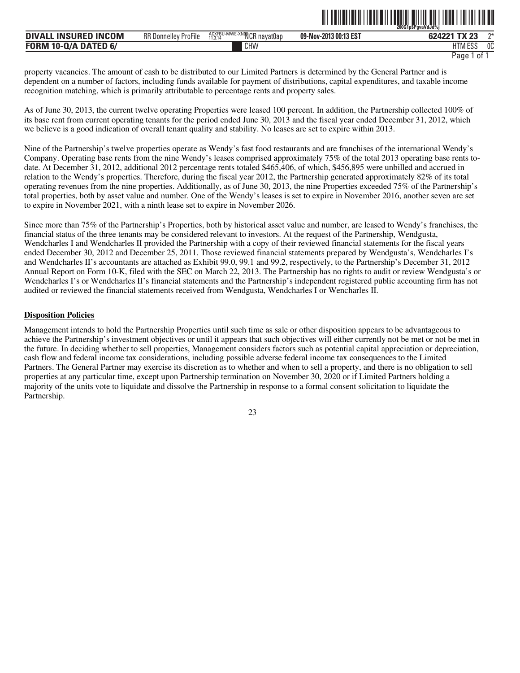| . INSURED INCOM<br><b>DIVALL</b> | <b>RR Donnelley ProFile</b> | ACXFBU-MWE-XNOCR nayat0ap<br>11.3.14 | 09-Nov-2013 00:13 EST | ግ*<br>624221 TX 23                             |
|----------------------------------|-----------------------------|--------------------------------------|-----------------------|------------------------------------------------|
| <b>FORM 10-Q/A DATED 6/</b>      |                             | CHW                                  |                       | <sub>0</sub> C<br>11T11F00<br>EJ.<br>. I I IVI |
|                                  |                             |                                      |                       | 0t<br>Page                                     |

property vacancies. The amount of cash to be distributed to our Limited Partners is determined by the General Partner and is dependent on a number of factors, including funds available for payment of distributions, capital expenditures, and taxable income recognition matching, which is primarily attributable to percentage rents and property sales.

As of June 30, 2013, the current twelve operating Properties were leased 100 percent. In addition, the Partnership collected 100% of its base rent from current operating tenants for the period ended June 30, 2013 and the fiscal year ended December 31, 2012, which we believe is a good indication of overall tenant quality and stability. No leases are set to expire within 2013.

Nine of the Partnership's twelve properties operate as Wendy's fast food restaurants and are franchises of the international Wendy's Company. Operating base rents from the nine Wendy's leases comprised approximately 75% of the total 2013 operating base rents todate. At December 31, 2012, additional 2012 percentage rents totaled \$465,406, of which, \$456,895 were unbilled and accrued in relation to the Wendy's properties. Therefore, during the fiscal year 2012, the Partnership generated approximately 82% of its total operating revenues from the nine properties. Additionally, as of June 30, 2013, the nine Properties exceeded 75% of the Partnership's total properties, both by asset value and number. One of the Wendy's leases is set to expire in November 2016, another seven are set to expire in November 2021, with a ninth lease set to expire in November 2026.

Since more than 75% of the Partnership's Properties, both by historical asset value and number, are leased to Wendy's franchises, the financial status of the three tenants may be considered relevant to investors. At the request of the Partnership, Wendgusta, Wendcharles I and Wendcharles II provided the Partnership with a copy of their reviewed financial statements for the fiscal years ended December 30, 2012 and December 25, 2011. Those reviewed financial statements prepared by Wendgusta's, Wendcharles I's and Wendcharles II's accountants are attached as Exhibit 99.0, 99.1 and 99.2, respectively, to the Partnership's December 31, 2012 Annual Report on Form 10-K, filed with the SEC on March 22, 2013. The Partnership has no rights to audit or review Wendgusta's or Wendcharles I's or Wendcharles II's financial statements and the Partnership's independent registered public accounting firm has not audited or reviewed the financial statements received from Wendgusta, Wendcharles I or Wencharles II.

# **Disposition Policies**

Management intends to hold the Partnership Properties until such time as sale or other disposition appears to be advantageous to achieve the Partnership's investment objectives or until it appears that such objectives will either currently not be met or not be met in the future. In deciding whether to sell properties, Management considers factors such as potential capital appreciation or depreciation, cash flow and federal income tax considerations, including possible adverse federal income tax consequences to the Limited Partners. The General Partner may exercise its discretion as to whether and when to sell a property, and there is no obligation to sell properties at any particular time, except upon Partnership termination on November 30, 2020 or if Limited Partners holding a majority of the units vote to liquidate and dissolve the Partnership in response to a formal consent solicitation to liquidate the Partnership.

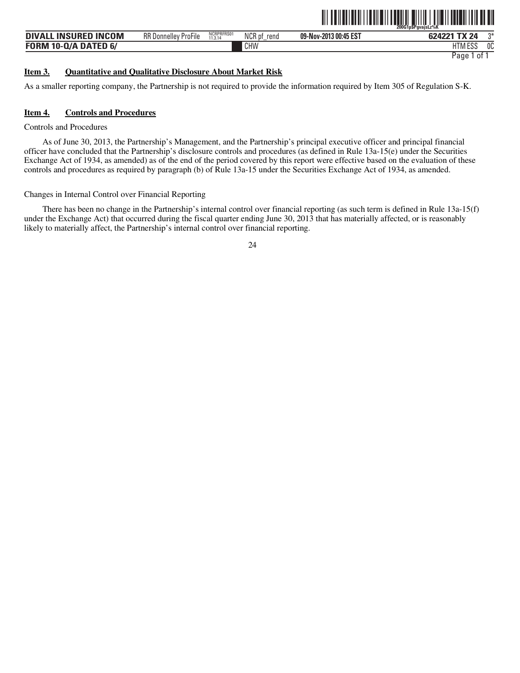|                                                |                             |                       |                |                       | <b>200G1pSPgvajsLz%K</b> |    |
|------------------------------------------------|-----------------------------|-----------------------|----------------|-----------------------|--------------------------|----|
| <b>INCOM</b><br><b>INSURED</b><br><b>DIVAI</b> | <b>RR Donnelley ProFile</b> | NCRPRFRS01<br>11.3.14 | NCR pf<br>rend | 09-Nov-2013 00:45 EST | <b>TX 24</b><br>624221   | ገ* |
| <b>FORM 10-Q/A DATED 6/</b>                    |                             |                       | CHW            |                       | HTM ESS                  | 0C |

ˆ200G1p\$PgvajsLz%KŠ **200G1p\$PgvajsLz%K**

# **Item 3. Quantitative and Qualitative Disclosure About Market Risk**

As a smaller reporting company, the Partnership is not required to provide the information required by Item 305 of Regulation S-K.

# **Item 4. Controls and Procedures**

Controls and Procedures

As of June 30, 2013, the Partnership's Management, and the Partnership's principal executive officer and principal financial officer have concluded that the Partnership's disclosure controls and procedures (as defined in Rule 13a-15(e) under the Securities Exchange Act of 1934, as amended) as of the end of the period covered by this report were effective based on the evaluation of these controls and procedures as required by paragraph (b) of Rule 13a-15 under the Securities Exchange Act of 1934, as amended.

Changes in Internal Control over Financial Reporting

There has been no change in the Partnership's internal control over financial reporting (as such term is defined in Rule 13a-15(f) under the Exchange Act) that occurred during the fiscal quarter ending June 30, 2013 that has materially affected, or is reasonably likely to materially affect, the Partnership's internal control over financial reporting.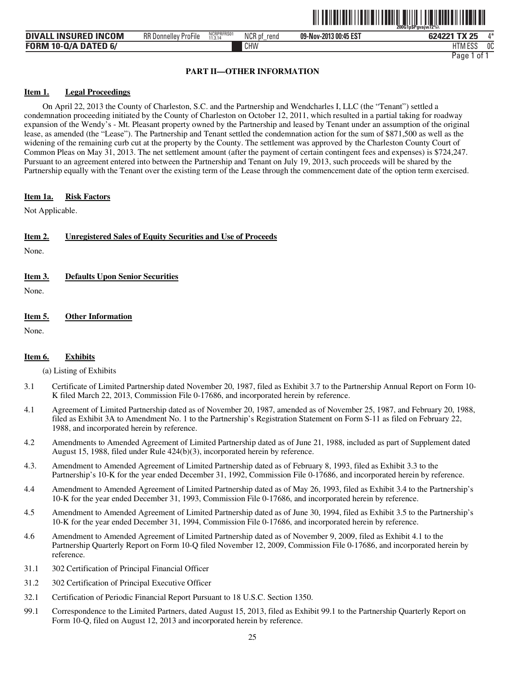

| <b>INSURED INCOM</b><br><b>DIVALL</b> | $-\cdot$ .<br>RR D<br>ProFile<br>. Donnellev | NCRPRFRS01<br>11.3.14 | NCR pt<br>rend | 09-Nov-2013 00:45 EST | 624221 TX 25            | ⁄l* |
|---------------------------------------|----------------------------------------------|-----------------------|----------------|-----------------------|-------------------------|-----|
| <b>FORM 10-Q/A DATED 6/</b>           |                                              |                       | CHW            |                       | $F^{\alpha}$<br>HIM ESS | 0C  |

# **PART II—OTHER INFORMATION**

#### **Item 1. Legal Proceedings**

On April 22, 2013 the County of Charleston, S.C. and the Partnership and Wendcharles I, LLC (the "Tenant") settled a condemnation proceeding initiated by the County of Charleston on October 12, 2011, which resulted in a partial taking for roadway expansion of the Wendy's - Mt. Pleasant property owned by the Partnership and leased by Tenant under an assumption of the original lease, as amended (the "Lease"). The Partnership and Tenant settled the condemnation action for the sum of \$871,500 as well as the widening of the remaining curb cut at the property by the County. The settlement was approved by the Charleston County Court of Common Pleas on May 31, 2013. The net settlement amount (after the payment of certain contingent fees and expenses) is \$724,247. Pursuant to an agreement entered into between the Partnership and Tenant on July 19, 2013, such proceeds will be shared by the Partnership equally with the Tenant over the existing term of the Lease through the commencement date of the option term exercised.

#### **Item 1a. Risk Factors**

Not Applicable.

# **Item 2. Unregistered Sales of Equity Securities and Use of Proceeds**

None.

| Item 3. |  |  |  | <b>Defaults Upon Senior Securities</b> |
|---------|--|--|--|----------------------------------------|
|---------|--|--|--|----------------------------------------|

None.

# **Item 5. Other Information**

None.

#### **Item 6. Exhibits**

(a) Listing of Exhibits

- 3.1 Certificate of Limited Partnership dated November 20, 1987, filed as Exhibit 3.7 to the Partnership Annual Report on Form 10- K filed March 22, 2013, Commission File 0-17686, and incorporated herein by reference.
- 4.1 Agreement of Limited Partnership dated as of November 20, 1987, amended as of November 25, 1987, and February 20, 1988, filed as Exhibit 3A to Amendment No. 1 to the Partnership's Registration Statement on Form S-11 as filed on February 22, 1988, and incorporated herein by reference.
- 4.2 Amendments to Amended Agreement of Limited Partnership dated as of June 21, 1988, included as part of Supplement dated August 15, 1988, filed under Rule 424(b)(3), incorporated herein by reference.
- 4.3. Amendment to Amended Agreement of Limited Partnership dated as of February 8, 1993, filed as Exhibit 3.3 to the Partnership's 10-K for the year ended December 31, 1992, Commission File 0-17686, and incorporated herein by reference.
- 4.4 Amendment to Amended Agreement of Limited Partnership dated as of May 26, 1993, filed as Exhibit 3.4 to the Partnership's 10-K for the year ended December 31, 1993, Commission File 0-17686, and incorporated herein by reference.
- 4.5 Amendment to Amended Agreement of Limited Partnership dated as of June 30, 1994, filed as Exhibit 3.5 to the Partnership's 10-K for the year ended December 31, 1994, Commission File 0-17686, and incorporated herein by reference.
- 4.6 Amendment to Amended Agreement of Limited Partnership dated as of November 9, 2009, filed as Exhibit 4.1 to the Partnership Quarterly Report on Form 10-Q filed November 12, 2009, Commission File 0-17686, and incorporated herein by reference.
- 31.1 302 Certification of Principal Financial Officer
- 31.2 302 Certification of Principal Executive Officer
- 32.1 Certification of Periodic Financial Report Pursuant to 18 U.S.C. Section 1350.
- 99.1 Correspondence to the Limited Partners, dated August 15, 2013, filed as Exhibit 99.1 to the Partnership Quarterly Report on Form 10-Q, filed on August 12, 2013 and incorporated herein by reference.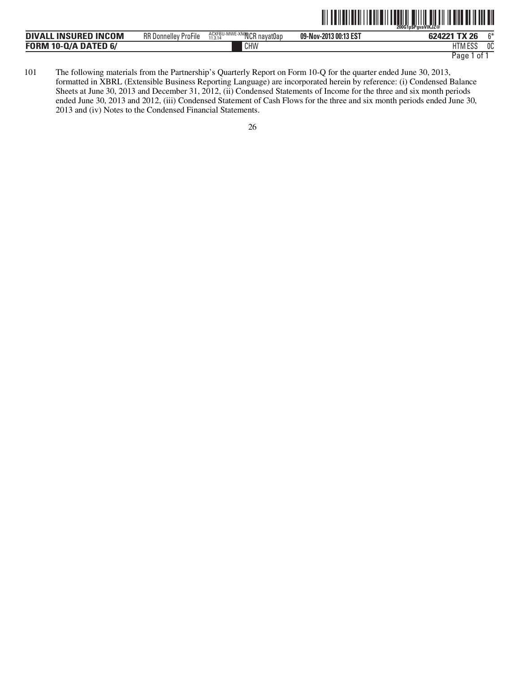|--|--|

| CHW<br>11T11F00<br><b>FORM 10-Q/A DATED 6/</b><br>പാറ<br>1 V I | <b>INSURED INCOM</b><br><b>DIVAL</b> | <b>RR Donnelley ProFile</b> | ADYFT<br><sup>U-MWE-XNQ</sup> NCR nayat0ap<br>ALXFBU<br>11 2 14 | 09-Nov-2013 00:13 EST | 624221 TX 26 | C* |
|----------------------------------------------------------------|--------------------------------------|-----------------------------|-----------------------------------------------------------------|-----------------------|--------------|----|
|                                                                |                                      |                             |                                                                 |                       |              | 0C |

Page 1 of 1

101 The following materials from the Partnership's Quarterly Report on Form 10-Q for the quarter ended June 30, 2013, formatted in XBRL (Extensible Business Reporting Language) are incorporated herein by reference: (i) Condensed Balance Sheets at June 30, 2013 and December 31, 2012, (ii) Condensed Statements of Income for the three and six month periods ended June 30, 2013 and 2012, (iii) Condensed Statement of Cash Flows for the three and six month periods ended June 30, 2013 and (iv) Notes to the Condensed Financial Statements.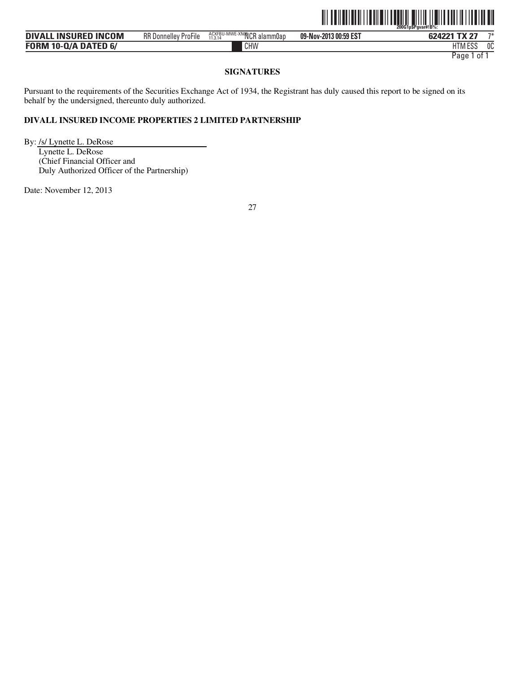

| CHW<br>TTABFAC<br><b>FORM 10-Q/A DATED 6/</b><br>HIM ESS | L INSURED INCOM<br><b>DIVALL</b> | $-\cdot$ .<br><b>RR</b> Donnelley<br>ProFile | ACXFBU-MWE-XNOOCR<br>' alamm0an<br>11.3.14 | 09-Nov-2013 00:59 EST | 624221 TX 27 | $7*$ |
|----------------------------------------------------------|----------------------------------|----------------------------------------------|--------------------------------------------|-----------------------|--------------|------|
|                                                          |                                  |                                              |                                            |                       |              | 0C   |

# **SIGNATURES**

Pursuant to the requirements of the Securities Exchange Act of 1934, the Registrant has duly caused this report to be signed on its behalf by the undersigned, thereunto duly authorized.

# **DIVALL INSURED INCOME PROPERTIES 2 LIMITED PARTNERSHIP**

By: /s/ Lynette L. DeRose Lynette L. DeRose (Chief Financial Officer and Duly Authorized Officer of the Partnership)

Date: November 12, 2013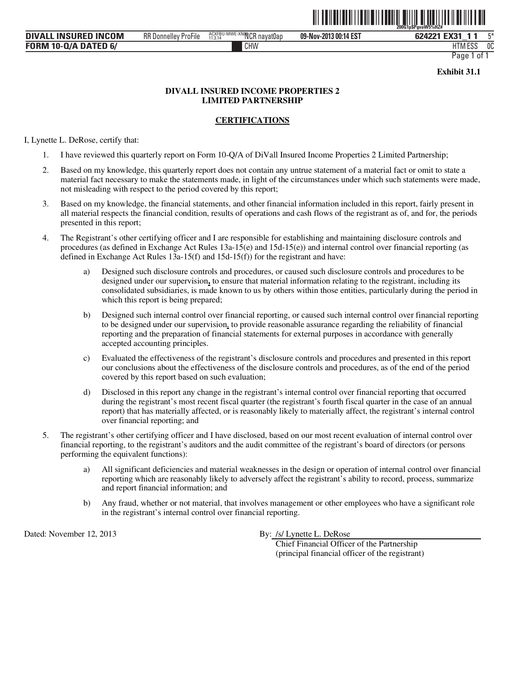

**DIVALL INSURED INCOM** BR Donnelley Profile ACXEBU-MWE-XN/QCR navat0ap 09-Nov-2013 00:14 EST 624221 EX31 **FORM 10-Q/A DATED 6/ 09-Nov-2013 00:14 EST** CHW FILM THE CHANNEL CHANNEL CHANNEL CHANNEL CHANNEL CHANNEL CHANNEL CHANNEL CHANNEL CHANNEL CHANNEL CHANNEL CHANNEL CHANNEL CHANNEL CHANNEL CHANNEL CHANNEL CHANNEL CHANNEL CHANNEL CHANNEL CHANNEL CHANNEL CHANNEL CHANNEL C RR Donnelley ProFile ACXFBU-MWE-XN08 11.3.14

HTM ESS 0C Page 1 of

**Exhibit 31.1** 

# **DIVALL INSURED INCOME PROPERTIES 2 LIMITED PARTNERSHIP**

# **CERTIFICATIONS**

I, Lynette L. DeRose, certify that:

- 1. I have reviewed this quarterly report on Form 10-Q/A of DiVall Insured Income Properties 2 Limited Partnership;
- 2. Based on my knowledge, this quarterly report does not contain any untrue statement of a material fact or omit to state a material fact necessary to make the statements made, in light of the circumstances under which such statements were made, not misleading with respect to the period covered by this report;
- 3. Based on my knowledge, the financial statements, and other financial information included in this report, fairly present in all material respects the financial condition, results of operations and cash flows of the registrant as of, and for, the periods presented in this report;
- 4. The Registrant's other certifying officer and I are responsible for establishing and maintaining disclosure controls and procedures (as defined in Exchange Act Rules 13a-15(e) and 15d-15(e)) and internal control over financial reporting (as defined in Exchange Act Rules 13a-15(f) and 15d-15(f)) for the registrant and have:
	- a) Designed such disclosure controls and procedures, or caused such disclosure controls and procedures to be designed under our supervision**,** to ensure that material information relating to the registrant, including its consolidated subsidiaries, is made known to us by others within those entities, particularly during the period in which this report is being prepared;
	- b) Designed such internal control over financial reporting, or caused such internal control over financial reporting to be designed under our supervision, to provide reasonable assurance regarding the reliability of financial reporting and the preparation of financial statements for external purposes in accordance with generally accepted accounting principles.
	- c) Evaluated the effectiveness of the registrant's disclosure controls and procedures and presented in this report our conclusions about the effectiveness of the disclosure controls and procedures, as of the end of the period covered by this report based on such evaluation;
	- d) Disclosed in this report any change in the registrant's internal control over financial reporting that occurred during the registrant's most recent fiscal quarter (the registrant's fourth fiscal quarter in the case of an annual report) that has materially affected, or is reasonably likely to materially affect, the registrant's internal control over financial reporting; and
- 5. The registrant's other certifying officer and I have disclosed, based on our most recent evaluation of internal control over financial reporting, to the registrant's auditors and the audit committee of the registrant's board of directors (or persons performing the equivalent functions):
	- a) All significant deficiencies and material weaknesses in the design or operation of internal control over financial reporting which are reasonably likely to adversely affect the registrant's ability to record, process, summarize and report financial information; and
	- b) Any fraud, whether or not material, that involves management or other employees who have a significant role in the registrant's internal control over financial reporting.

Dated: November 12, 2013 By: /s/ Lynette L. DeRose

Chief Financial Officer of the Partnership (principal financial officer of the registrant)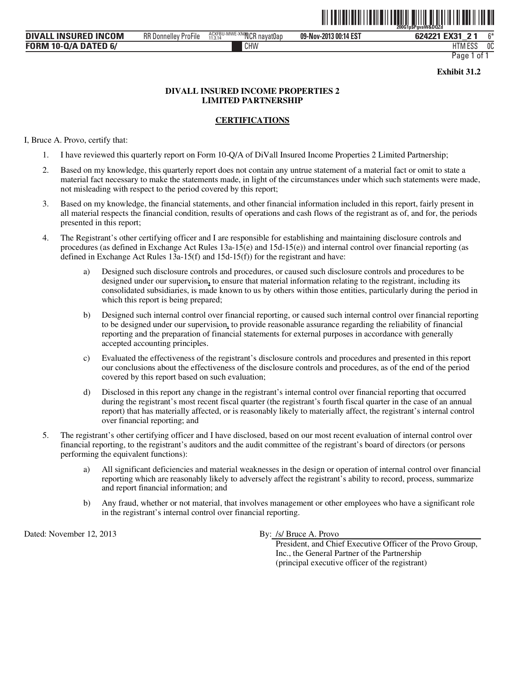

| . INSURED INCOM<br><b>DIVALL</b> | $-\cdot$ .<br><b>RR</b> Donnelley<br>ProFile | ACXFBU-MWE-XNOOCR nayat0ap | 09-Nov-2013 00:14 EST | <b>EX31</b><br>624221 | $\sim$ |
|----------------------------------|----------------------------------------------|----------------------------|-----------------------|-----------------------|--------|
| <b>FORM 10-Q/A DATED 6/</b>      |                                              | CHW                        |                       | HIM ESS               | 0C     |

**Exhibit 31.2** 

# **DIVALL INSURED INCOME PROPERTIES 2 LIMITED PARTNERSHIP**

# **CERTIFICATIONS**

I, Bruce A. Provo, certify that:

- 1. I have reviewed this quarterly report on Form 10-Q/A of DiVall Insured Income Properties 2 Limited Partnership;
- 2. Based on my knowledge, this quarterly report does not contain any untrue statement of a material fact or omit to state a material fact necessary to make the statements made, in light of the circumstances under which such statements were made, not misleading with respect to the period covered by this report;
- 3. Based on my knowledge, the financial statements, and other financial information included in this report, fairly present in all material respects the financial condition, results of operations and cash flows of the registrant as of, and for, the periods presented in this report;
- 4. The Registrant's other certifying officer and I are responsible for establishing and maintaining disclosure controls and procedures (as defined in Exchange Act Rules 13a-15(e) and 15d-15(e)) and internal control over financial reporting (as defined in Exchange Act Rules 13a-15(f) and 15d-15(f)) for the registrant and have:
	- a) Designed such disclosure controls and procedures, or caused such disclosure controls and procedures to be designed under our supervision**,** to ensure that material information relating to the registrant, including its consolidated subsidiaries, is made known to us by others within those entities, particularly during the period in which this report is being prepared;
	- b) Designed such internal control over financial reporting, or caused such internal control over financial reporting to be designed under our supervision, to provide reasonable assurance regarding the reliability of financial reporting and the preparation of financial statements for external purposes in accordance with generally accepted accounting principles.
	- c) Evaluated the effectiveness of the registrant's disclosure controls and procedures and presented in this report our conclusions about the effectiveness of the disclosure controls and procedures, as of the end of the period covered by this report based on such evaluation;
	- d) Disclosed in this report any change in the registrant's internal control over financial reporting that occurred during the registrant's most recent fiscal quarter (the registrant's fourth fiscal quarter in the case of an annual report) that has materially affected, or is reasonably likely to materially affect, the registrant's internal control over financial reporting; and
- 5. The registrant's other certifying officer and I have disclosed, based on our most recent evaluation of internal control over financial reporting, to the registrant's auditors and the audit committee of the registrant's board of directors (or persons performing the equivalent functions):
	- a) All significant deficiencies and material weaknesses in the design or operation of internal control over financial reporting which are reasonably likely to adversely affect the registrant's ability to record, process, summarize and report financial information; and
	- b) Any fraud, whether or not material, that involves management or other employees who have a significant role in the registrant's internal control over financial reporting.

Dated: November 12, 2013 By: /s/ Bruce A. Provo

President, and Chief Executive Officer of the Provo Group, Inc., the General Partner of the Partnership (principal executive officer of the registrant)